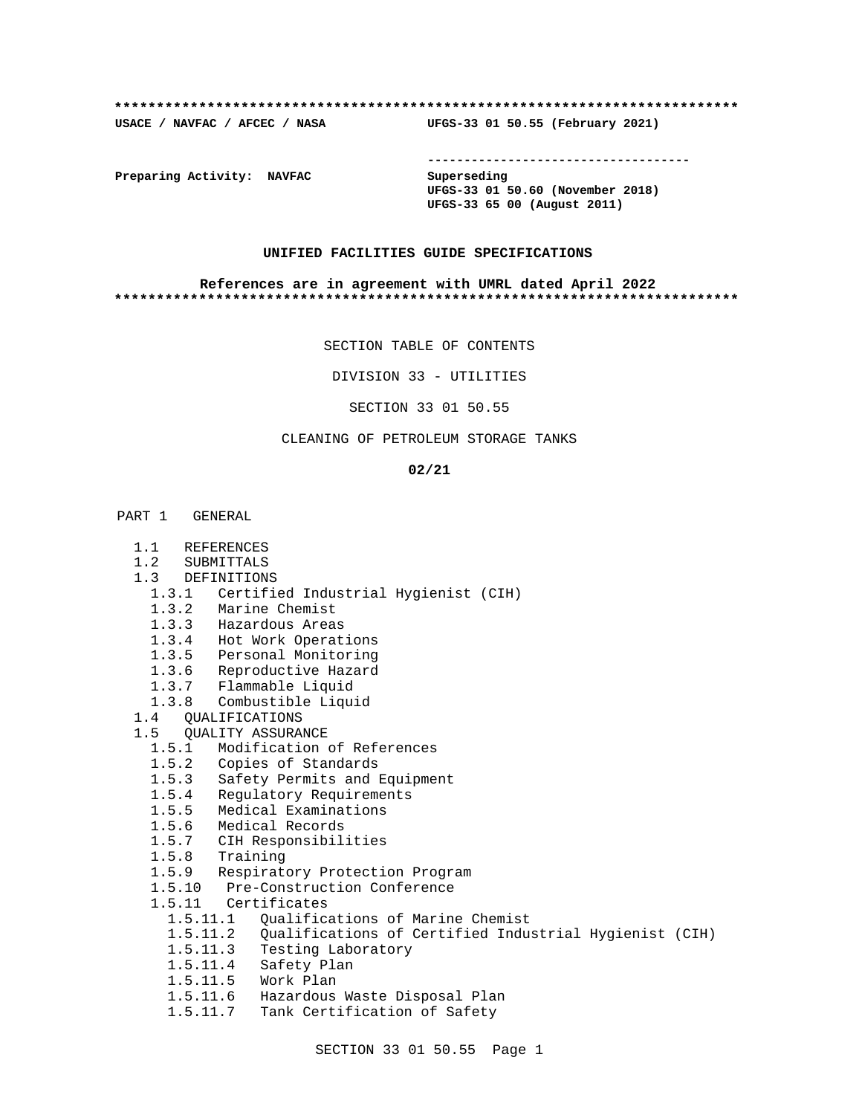### **\*\*\*\*\*\*\*\*\*\*\*\*\*\*\*\*\*\*\*\*\*\*\*\*\*\*\*\*\*\*\*\*\*\*\*\*\*\*\*\*\*\*\*\*\*\*\*\*\*\*\*\*\*\*\*\*\*\*\*\*\*\*\*\*\*\*\*\*\*\*\*\*\*\***

**USACE / NAVFAC / AFCEC / NASA UFGS-33 01 50.55 (February 2021)**

**------------------------------------**

**Preparing Activity: NAVFAC Superseding**

**UFGS-33 01 50.60 (November 2018) UFGS-33 65 00 (August 2011)**

### **UNIFIED FACILITIES GUIDE SPECIFICATIONS**

**References are in agreement with UMRL dated April 2022 \*\*\*\*\*\*\*\*\*\*\*\*\*\*\*\*\*\*\*\*\*\*\*\*\*\*\*\*\*\*\*\*\*\*\*\*\*\*\*\*\*\*\*\*\*\*\*\*\*\*\*\*\*\*\*\*\*\*\*\*\*\*\*\*\*\*\*\*\*\*\*\*\*\***

SECTION TABLE OF CONTENTS

DIVISION 33 - UTILITIES

SECTION 33 01 50.55

### CLEANING OF PETROLEUM STORAGE TANKS

#### **02/21**

PART 1 GENERAL

- 1.1 REFERENCES
- 1.2 SUBMITTALS
- 1.3 DEFINITIONS
- 1.3.1 Certified Industrial Hygienist (CIH)
	- 1.3.2 Marine Chemist
	- 1.3.3 Hazardous Areas
	- 1.3.4 Hot Work Operations
- 1.3.5 Personal Monitoring
- 1.3.6 Reproductive Hazard
- 1.3.7 Flammable Liquid
- 1.3.8 Combustible Liquid
- 1.4 QUALIFICATIONS
- 1.5 QUALITY ASSURANCE
	- 1.5.1 Modification of References
- 1.5.2 Copies of Standards
- 1.5.3 Safety Permits and Equipment
	- 1.5.4 Regulatory Requirements
	- 1.5.5 Medical Examinations
	- 1.5.6 Medical Records
	- 1.5.7 CIH Responsibilities
	- 1.5.8 Training
	- 1.5.9 Respiratory Protection Program
	- 1.5.10 Pre-Construction Conference
	- 1.5.11 Certificates
		- 1.5.11.1 Qualifications of Marine Chemist
		- 1.5.11.2 Qualifications of Certified Industrial Hygienist (CIH)
		- 1.5.11.3 Testing Laboratory
		- 1.5.11.4 Safety Plan
		- 1.5.11.5 Work Plan
		- 1.5.11.6 Hazardous Waste Disposal Plan
		- 1.5.11.7 Tank Certification of Safety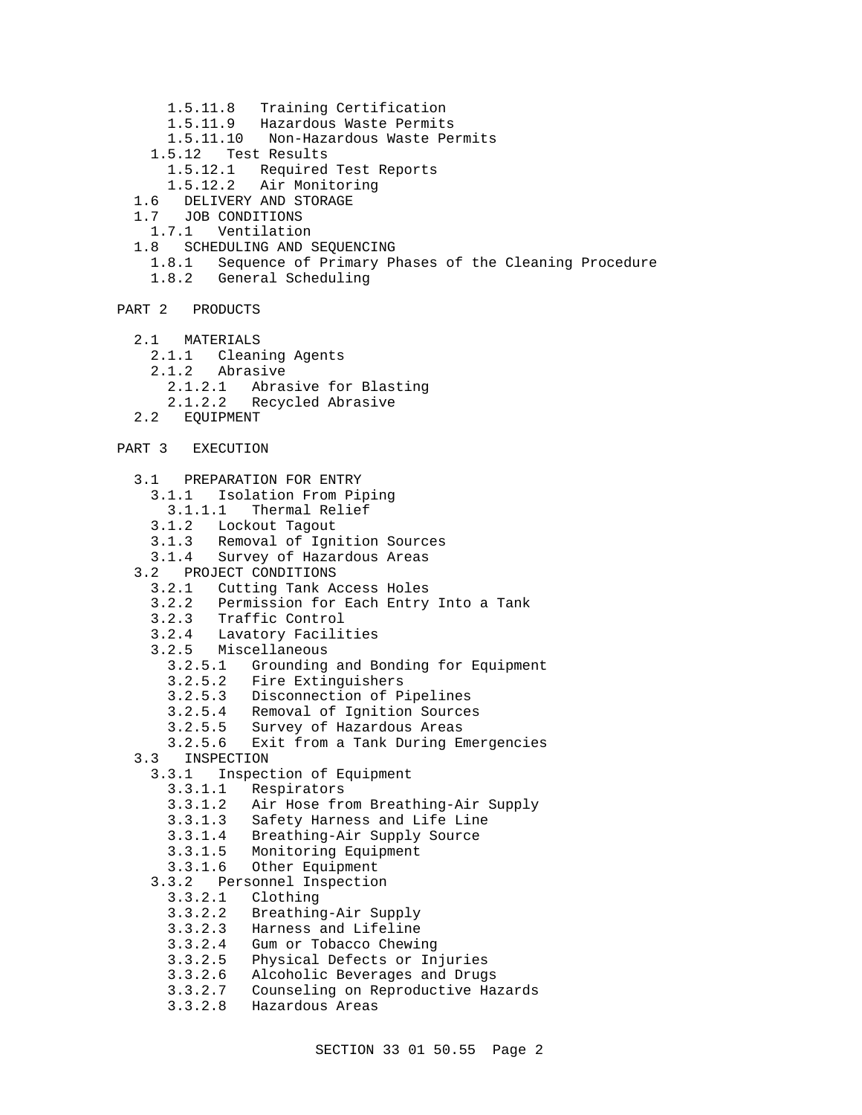- 1.5.11.8 Training Certification
- 1.5.11.9 Hazardous Waste Permits
- 1.5.11.10 Non-Hazardous Waste Permits
- 1.5.12 Test Results
	- 1.5.12.1 Required Test Reports
	- 1.5.12.2 Air Monitoring
- 1.6 DELIVERY AND STORAGE
- 1.7 JOB CONDITIONS
- 1.7.1 Ventilation
- 1.8 SCHEDULING AND SEQUENCING
	- 1.8.1 Sequence of Primary Phases of the Cleaning Procedure
	- 1.8.2 General Scheduling
- PART 2 PRODUCTS
	- 2.1 MATERIALS
		- 2.1.1 Cleaning Agents
		- 2.1.2 Abrasive
		- 2.1.2.1 Abrasive for Blasting
		- 2.1.2.2 Recycled Abrasive
	- 2.2 EQUIPMENT
- PART 3 EXECUTION
	- 3.1 PREPARATION FOR ENTRY
		- 3.1.1 Isolation From Piping
			- Thermal Relief
		- 3.1.2 Lockout Tagout
		- 3.1.3 Removal of Ignition Sources
		- 3.1.4 Survey of Hazardous Areas
	- 3.2 PROJECT CONDITIONS
		- 3.2.1 Cutting Tank Access Holes
		- 3.2.2 Permission for Each Entry Into a Tank
		- 3.2.3 Traffic Control
		- 3.2.4 Lavatory Facilities
		- 3.2.5 Miscellaneous
			- 3.2.5.1 Grounding and Bonding for Equipment
			- 3.2.5.2 Fire Extinguishers
			- Disconnection of Pipelines
			- 3.2.5.4 Removal of Ignition Sources
			- 3.2.5.5 Survey of Hazardous Areas
		- 3.2.5.6 Exit from a Tank During Emergencies
	- 3.3 INSPECTION
		- 3.3.1 Inspection of Equipment
			- 3.3.1.1 Respirators
			- 3.3.1.2 Air Hose from Breathing-Air Supply
			- 3.3.1.3 Safety Harness and Life Line
			- 3.3.1.4 Breathing-Air Supply Source
			- 3.3.1.5 Monitoring Equipment
			- 3.3.1.6 Other Equipment
		- 3.3.2 Personnel Inspection
			- 3.3.2.1 Clothing
			- 3.3.2.2 Breathing-Air Supply
			- 3.3.2.3 Harness and Lifeline
			- 3.3.2.4 Gum or Tobacco Chewing
			-
			- 3.3.2.5 Physical Defects or Injuries Alcoholic Beverages and Drugs
			- 3.3.2.7 Counseling on Reproductive Hazards
			- 3.3.2.8 Hazardous Areas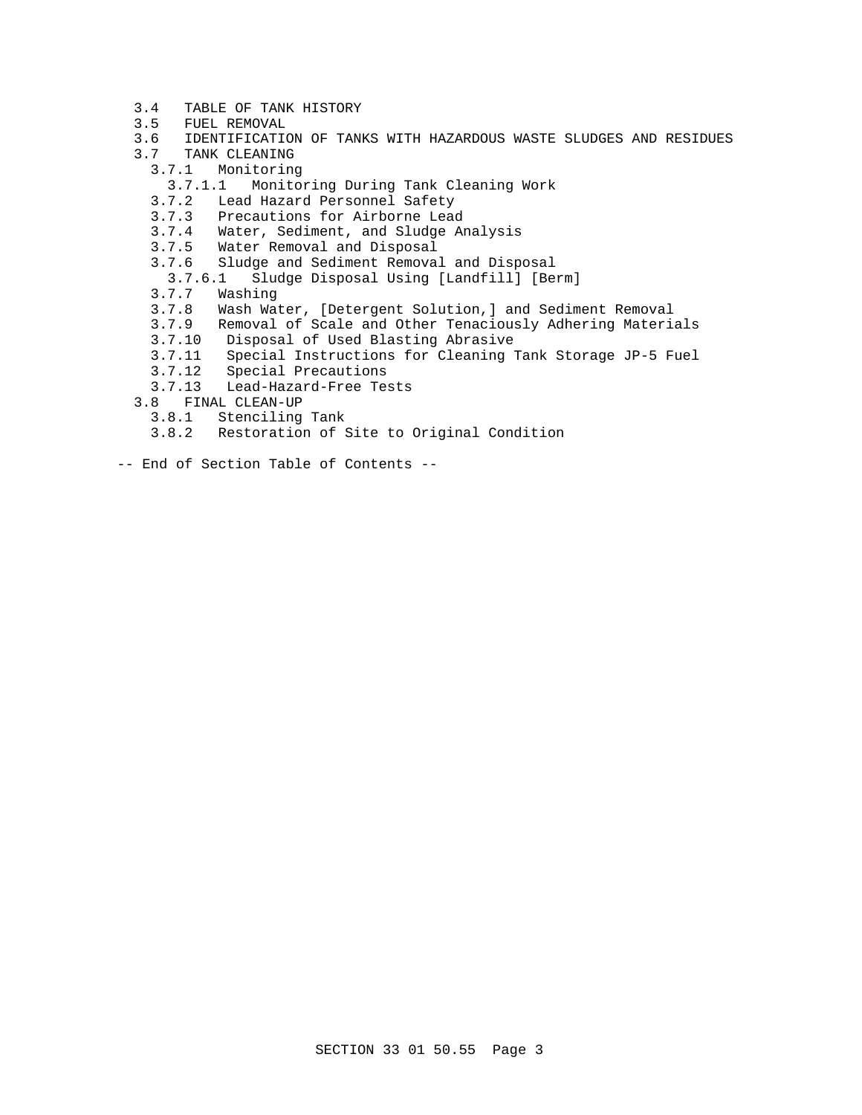- 3.4 TABLE OF TANK HISTORY
- 3.5 FUEL REMOVAL
- 3.6 IDENTIFICATION OF TANKS WITH HAZARDOUS WASTE SLUDGES AND RESIDUES
- 3.7 TANK CLEANING
	- 3.7.1 Monitoring
		- 3.7.1.1 Monitoring During Tank Cleaning Work
	- 3.7.2 Lead Hazard Personnel Safety
	- 3.7.3 Precautions for Airborne Lead
	- 3.7.4 Water, Sediment, and Sludge Analysis
	- 3.7.5 Water Removal and Disposal
	- 3.7.6 Sludge and Sediment Removal and Disposal
	- 3.7.6.1 Sludge Disposal Using [Landfill] [Berm]
	- 3.7.7 Washing
	-
	- 3.7.8 Wash Water, [Detergent Solution,] and Sediment Removal Removal of Scale and Other Tenaciously Adhering Materials
	- 3.7.10 Disposal of Used Blasting Abrasive
	- 3.7.11 Special Instructions for Cleaning Tank Storage JP-5 Fuel
	- 3.7.12 Special Precautions
	- 3.7.13 Lead-Hazard-Free Tests
- 3.8 FINAL CLEAN-UP
	- 3.8.1 Stenciling Tank
	- 3.8.2 Restoration of Site to Original Condition
- -- End of Section Table of Contents --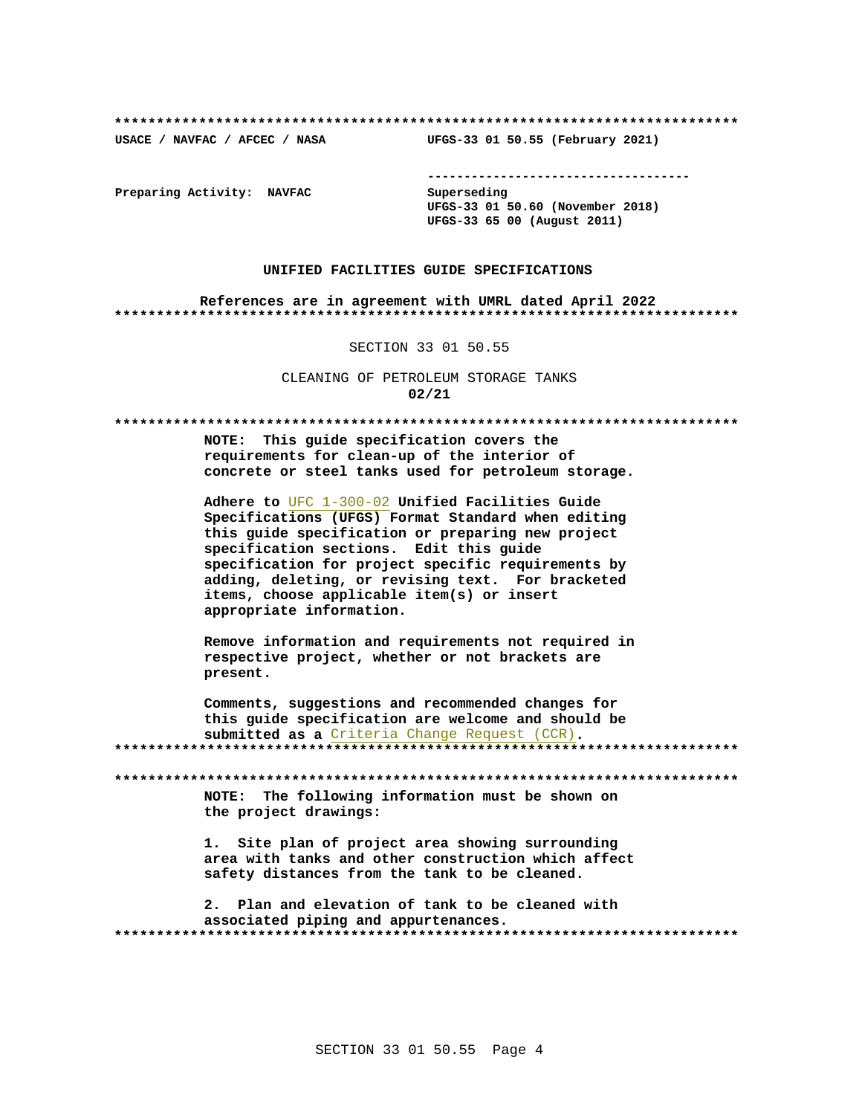UFGS-33 01 50.55 (February 2021)

USACE / NAVFAC / AFCEC / NASA

--------------------------------------

Preparing Activity: NAVFAC

Superseding UFGS-33 01 50.60 (November 2018) UFGS-33 65 00 (August 2011)

#### UNIFIED FACILITIES GUIDE SPECIFICATIONS

References are in agreement with UMRL dated April 2022 

SECTION 33 01 50.55

CLEANING OF PETROLEUM STORAGE TANKS  $02/21$ 

NOTE: This guide specification covers the requirements for clean-up of the interior of

concrete or steel tanks used for petroleum storage.

Adhere to UFC 1-300-02 Unified Facilities Guide Specifications (UFGS) Format Standard when editing this guide specification or preparing new project specification sections. Edit this guide specification for project specific requirements by adding, deleting, or revising text. For bracketed items, choose applicable item(s) or insert appropriate information.

Remove information and requirements not required in respective project, whether or not brackets are present.

Comments, suggestions and recommended changes for this guide specification are welcome and should be submitted as a Criteria Change Request (CCR). 

NOTE: The following information must be shown on the project drawings:

> 1. Site plan of project area showing surrounding area with tanks and other construction which affect safety distances from the tank to be cleaned.

2. Plan and elevation of tank to be cleaned with associated piping and appurtenances.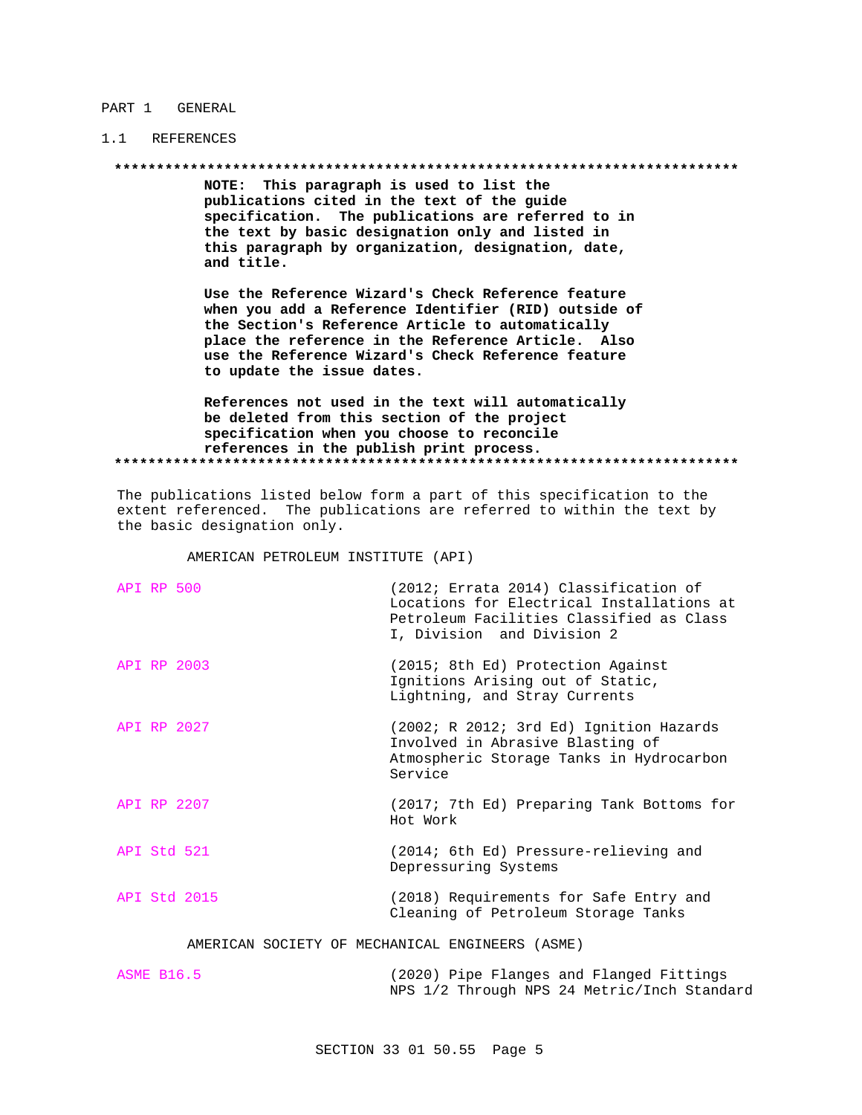#### PART 1 GENERAL

## 1.1 REFERENCES

NOTE: This paragraph is used to list the publications cited in the text of the guide specification. The publications are referred to in the text by basic designation only and listed in this paragraph by organization, designation, date, and title.

Use the Reference Wizard's Check Reference feature when you add a Reference Identifier (RID) outside of the Section's Reference Article to automatically place the reference in the Reference Article. Also use the Reference Wizard's Check Reference feature to update the issue dates.

References not used in the text will automatically be deleted from this section of the project specification when you choose to reconcile references in the publish print process. 

The publications listed below form a part of this specification to the extent referenced. The publications are referred to within the text by the basic designation only.

AMERICAN PETROLEUM INSTITUTE (API)

| API RP 500   | (2012; Errata 2014) Classification of<br>Locations for Electrical Installations at<br>Petroleum Facilities Classified as Class<br>I, Division and Division 2 |
|--------------|--------------------------------------------------------------------------------------------------------------------------------------------------------------|
| API RP 2003  | (2015; 8th Ed) Protection Against<br>Ignitions Arising out of Static,<br>Lightning, and Stray Currents                                                       |
| APT RP 2027  | (2002; R 2012; 3rd Ed) Ignition Hazards<br>Involved in Abrasive Blasting of<br>Atmospheric Storage Tanks in Hydrocarbon<br>Service                           |
| API RP 2207  | (2017; 7th Ed) Preparing Tank Bottoms for<br>Hot Work                                                                                                        |
| API Std 521  | (2014; 6th Ed) Pressure-relieving and<br>Depressuring Systems                                                                                                |
| API Std 2015 | (2018) Requirements for Safe Entry and<br>Cleaning of Petroleum Storage Tanks                                                                                |

AMERICAN SOCIETY OF MECHANICAL ENGINEERS (ASME)

| ASME B16.5 | (2020) Pipe Flanges and Flanged Fittings    |
|------------|---------------------------------------------|
|            | NPS 1/2 Through NPS 24 Metric/Inch Standard |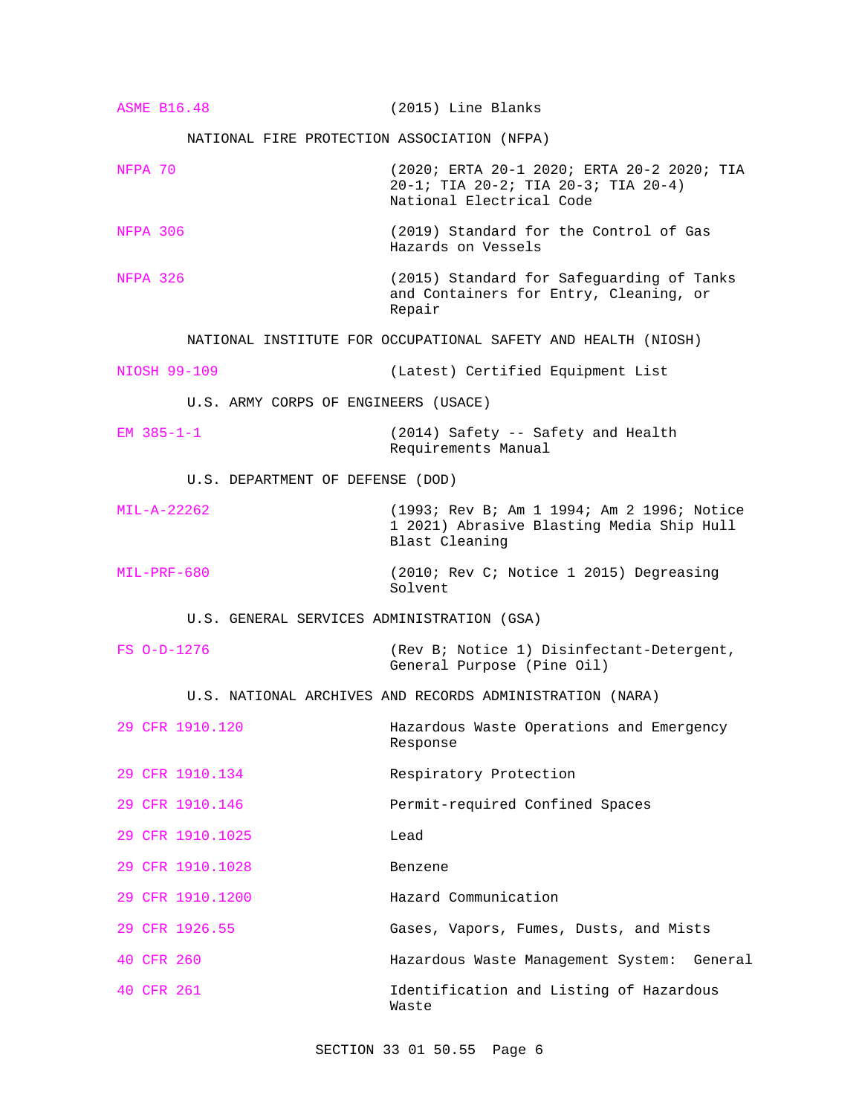| <b>ASME B16.48</b>                          | (2015) Line Blanks                                                                                            |  |  |  |  |  |  |
|---------------------------------------------|---------------------------------------------------------------------------------------------------------------|--|--|--|--|--|--|
| NATIONAL FIRE PROTECTION ASSOCIATION (NFPA) |                                                                                                               |  |  |  |  |  |  |
| NFPA 70                                     | (2020; ERTA 20-1 2020; ERTA 20-2 2020; TIA<br>20-1; TIA 20-2; TIA 20-3; TIA 20-4)<br>National Electrical Code |  |  |  |  |  |  |
| NFPA 306                                    | (2019) Standard for the Control of Gas<br>Hazards on Vessels                                                  |  |  |  |  |  |  |
| NFPA 326                                    | (2015) Standard for Safeguarding of Tanks<br>and Containers for Entry, Cleaning, or<br>Repair                 |  |  |  |  |  |  |
|                                             | NATIONAL INSTITUTE FOR OCCUPATIONAL SAFETY AND HEALTH (NIOSH)                                                 |  |  |  |  |  |  |
| <b>NIOSH 99-109</b>                         | (Latest) Certified Equipment List                                                                             |  |  |  |  |  |  |
| U.S. ARMY CORPS OF ENGINEERS (USACE)        |                                                                                                               |  |  |  |  |  |  |
| EM $385 - 1 - 1$                            | (2014) Safety -- Safety and Health<br>Requirements Manual                                                     |  |  |  |  |  |  |
| U.S. DEPARTMENT OF DEFENSE (DOD)            |                                                                                                               |  |  |  |  |  |  |
| MIL-A-22262                                 | (1993; Rev B; Am 1 1994; Am 2 1996; Notice<br>1 2021) Abrasive Blasting Media Ship Hull<br>Blast Cleaning     |  |  |  |  |  |  |
| $MIL-PRF-680$                               | (2010; Rev C; Notice 1 2015) Degreasing<br>Solvent                                                            |  |  |  |  |  |  |
| U.S. GENERAL SERVICES ADMINISTRATION (GSA)  |                                                                                                               |  |  |  |  |  |  |
| FS 0-D-1276                                 | (Rev B; Notice 1) Disinfectant-Detergent,<br>General Purpose (Pine Oil)                                       |  |  |  |  |  |  |
|                                             | U.S. NATIONAL ARCHIVES AND RECORDS ADMINISTRATION (NARA)                                                      |  |  |  |  |  |  |
| 29 CFR 1910.120                             | Hazardous Waste Operations and Emergency<br>Response                                                          |  |  |  |  |  |  |
| 29 CFR 1910.134                             | Respiratory Protection                                                                                        |  |  |  |  |  |  |
| 29 CFR 1910.146                             | Permit-required Confined Spaces                                                                               |  |  |  |  |  |  |
| 29 CFR 1910.1025                            | Lead                                                                                                          |  |  |  |  |  |  |
| 29 CFR 1910.1028                            | Benzene                                                                                                       |  |  |  |  |  |  |
| 29 CFR 1910.1200                            | Hazard Communication                                                                                          |  |  |  |  |  |  |
| 29 CFR 1926.55                              | Gases, Vapors, Fumes, Dusts, and Mists                                                                        |  |  |  |  |  |  |
| 40 CFR 260                                  | Hazardous Waste Management System:<br>General                                                                 |  |  |  |  |  |  |
| 40 CFR 261                                  | Identification and Listing of Hazardous<br>Waste                                                              |  |  |  |  |  |  |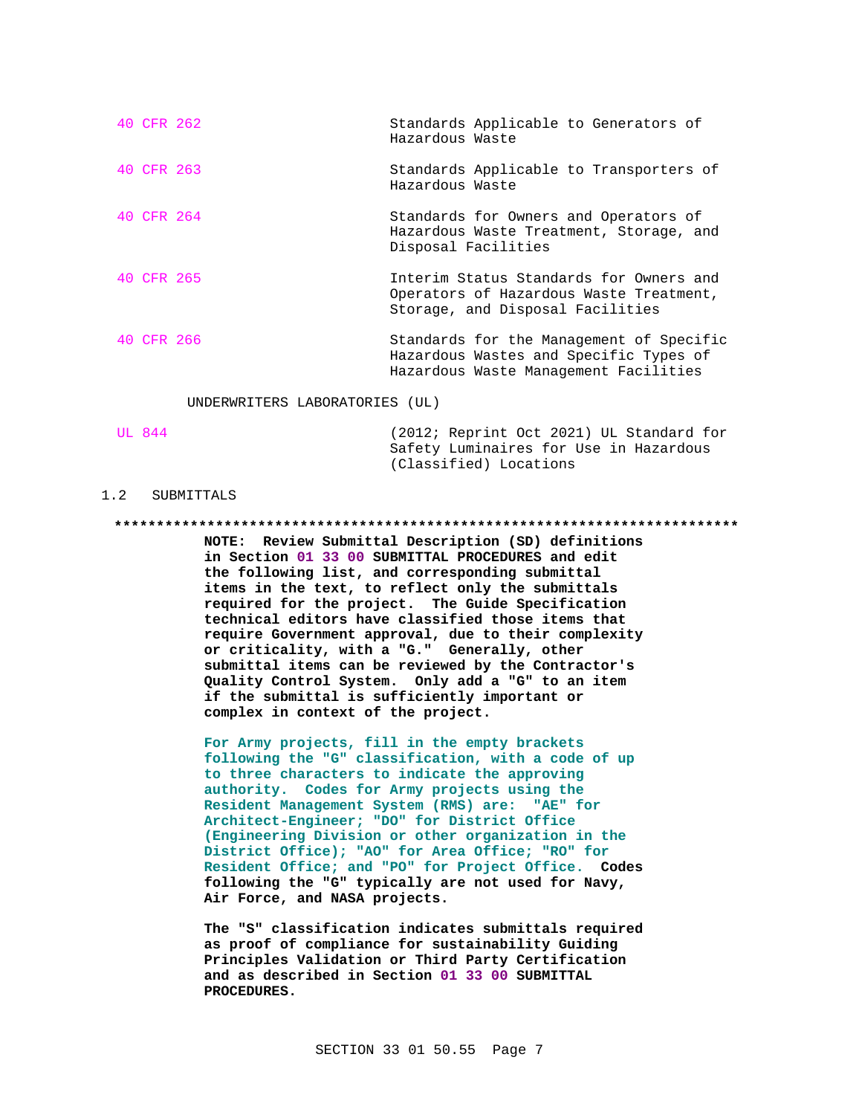| 40 CFR 262 | Standards Applicable to Generators of<br>Hazardous Waste                                                                    |
|------------|-----------------------------------------------------------------------------------------------------------------------------|
| 40 CFR 263 | Standards Applicable to Transporters of<br>Hazardous Waste                                                                  |
| 40 CFR 264 | Standards for Owners and Operators of<br>Hazardous Waste Treatment, Storage, and<br>Disposal Facilities                     |
| 40 CFR 265 | Interim Status Standards for Owners and<br>Operators of Hazardous Waste Treatment,<br>Storage, and Disposal Facilities      |
| 40 CFR 266 | Standards for the Management of Specific<br>Hazardous Wastes and Specific Types of<br>Hazardous Waste Management Facilities |

## UNDERWRITERS LABORATORIES (UL)

UL 844 (2012; Reprint Oct 2021) UL Standard for Safety Luminaires for Use in Hazardous (Classified) Locations

### 1.2 SUBMITTALS

#### **\*\*\*\*\*\*\*\*\*\*\*\*\*\*\*\*\*\*\*\*\*\*\*\*\*\*\*\*\*\*\*\*\*\*\*\*\*\*\*\*\*\*\*\*\*\*\*\*\*\*\*\*\*\*\*\*\*\*\*\*\*\*\*\*\*\*\*\*\*\*\*\*\*\***

**NOTE: Review Submittal Description (SD) definitions in Section 01 33 00 SUBMITTAL PROCEDURES and edit the following list, and corresponding submittal items in the text, to reflect only the submittals required for the project. The Guide Specification technical editors have classified those items that require Government approval, due to their complexity or criticality, with a "G." Generally, other submittal items can be reviewed by the Contractor's Quality Control System. Only add a "G" to an item if the submittal is sufficiently important or complex in context of the project.**

**For Army projects, fill in the empty brackets following the "G" classification, with a code of up to three characters to indicate the approving authority. Codes for Army projects using the Resident Management System (RMS) are: "AE" for Architect-Engineer; "DO" for District Office (Engineering Division or other organization in the District Office); "AO" for Area Office; "RO" for Resident Office; and "PO" for Project Office. Codes following the "G" typically are not used for Navy, Air Force, and NASA projects.**

**The "S" classification indicates submittals required as proof of compliance for sustainability Guiding Principles Validation or Third Party Certification and as described in Section 01 33 00 SUBMITTAL PROCEDURES.**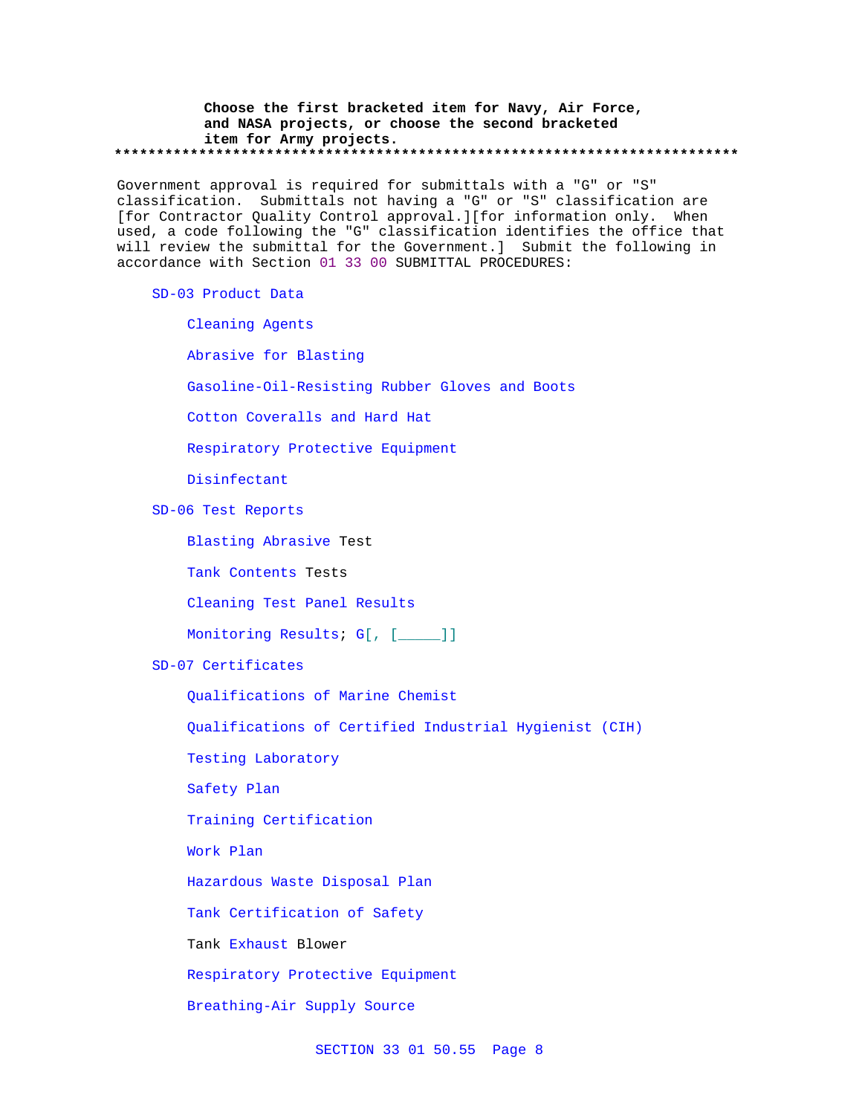## **Choose the first bracketed item for Navy, Air Force, and NASA projects, or choose the second bracketed item for Army projects. \*\*\*\*\*\*\*\*\*\*\*\*\*\*\*\*\*\*\*\*\*\*\*\*\*\*\*\*\*\*\*\*\*\*\*\*\*\*\*\*\*\*\*\*\*\*\*\*\*\*\*\*\*\*\*\*\*\*\*\*\*\*\*\*\*\*\*\*\*\*\*\*\*\***

Government approval is required for submittals with a "G" or "S" classification. Submittals not having a "G" or "S" classification are [for Contractor Quality Control approval.][for information only. When used, a code following the "G" classification identifies the office that will review the submittal for the Government.] Submit the following in accordance with Section 01 33 00 SUBMITTAL PROCEDURES:

SD-03 Product Data

Cleaning Agents

Abrasive for Blasting

Gasoline-Oil-Resisting Rubber Gloves and Boots

Cotton Coveralls and Hard Hat

Respiratory Protective Equipment

Disinfectant

SD-06 Test Reports

Blasting Abrasive Test

Tank Contents Tests

Cleaning Test Panel Results

Monitoring Results; G[, [\_\_\_\_\_]]

SD-07 Certificates

Qualifications of Marine Chemist

Qualifications of Certified Industrial Hygienist (CIH)

Testing Laboratory

Safety Plan

Training Certification

Work Plan

Hazardous Waste Disposal Plan

Tank Certification of Safety

Tank Exhaust Blower

Respiratory Protective Equipment

Breathing-Air Supply Source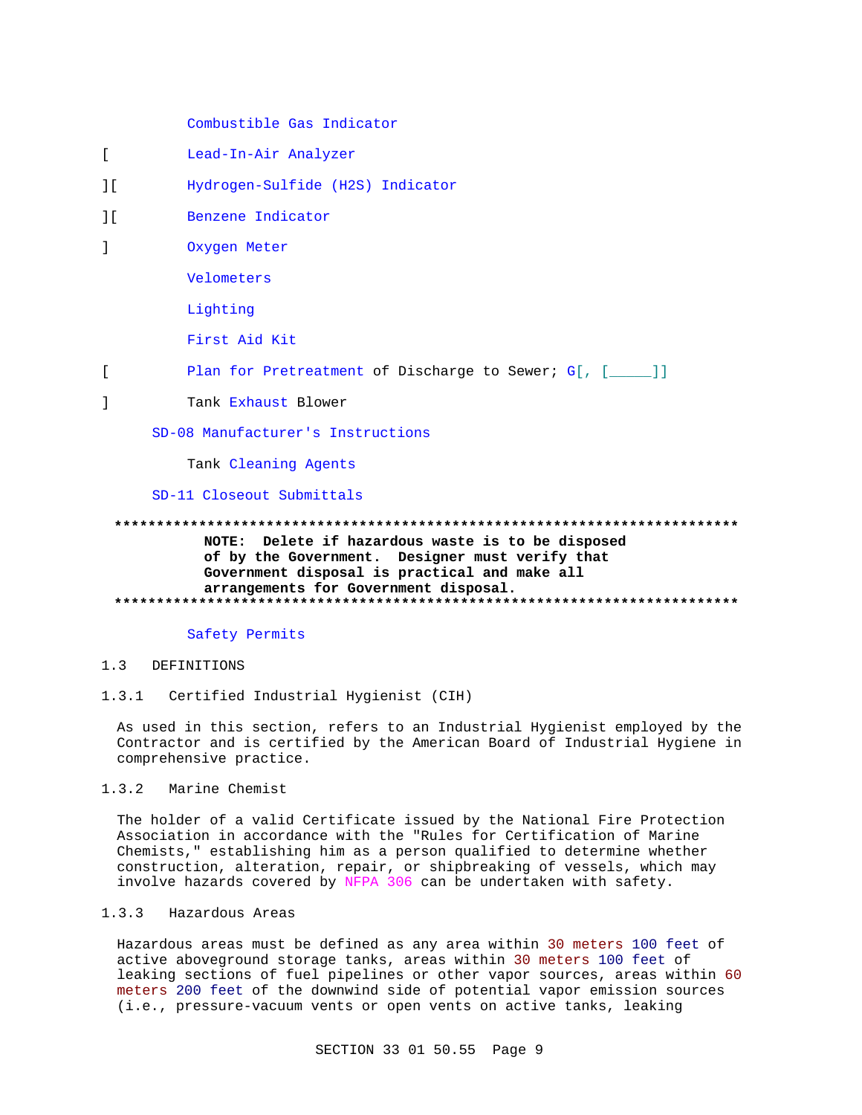Combustible Gas Indicator

- $\mathsf{L}$ Lead-In-Air Analyzer
- $\Gamma$ Hydrogen-Sulfide (H2S) Indicator
- $\overline{11}$ Benzene Indicator
- $\mathbf{1}$ Oxygen Meter
	- Velometers

Lighting

First Aid Kit

- $\mathbf{r}$ Plan for Pretreatment of Discharge to Sewer; G[, [\_\_\_\_]]
- $\mathbf{1}$ Tank Exhaust Blower

SD-08 Manufacturer's Instructions

Tank Cleaning Agents

SD-11 Closeout Submittals

#### \*\*\*\*\*\*\*\*\*\*\*\*\*\*\*\*

NOTE: Delete if hazardous waste is to be disposed of by the Government. Designer must verify that Government disposal is practical and make all arrangements for Government disposal. 

#### Safety Permits

#### $1.3$ DEFINITIONS

## 1.3.1 Certified Industrial Hygienist (CIH)

As used in this section, refers to an Industrial Hygienist employed by the Contractor and is certified by the American Board of Industrial Hygiene in comprehensive practice.

#### $1.3.2$ Marine Chemist

The holder of a valid Certificate issued by the National Fire Protection Association in accordance with the "Rules for Certification of Marine Chemists," establishing him as a person qualified to determine whether construction, alteration, repair, or shipbreaking of vessels, which may involve hazards covered by NFPA 306 can be undertaken with safety.

#### $1.3.3$ Hazardous Areas

Hazardous areas must be defined as any area within 30 meters 100 feet of active aboveground storage tanks, areas within 30 meters 100 feet of leaking sections of fuel pipelines or other vapor sources, areas within 60 meters 200 feet of the downwind side of potential vapor emission sources (i.e., pressure-vacuum vents or open vents on active tanks, leaking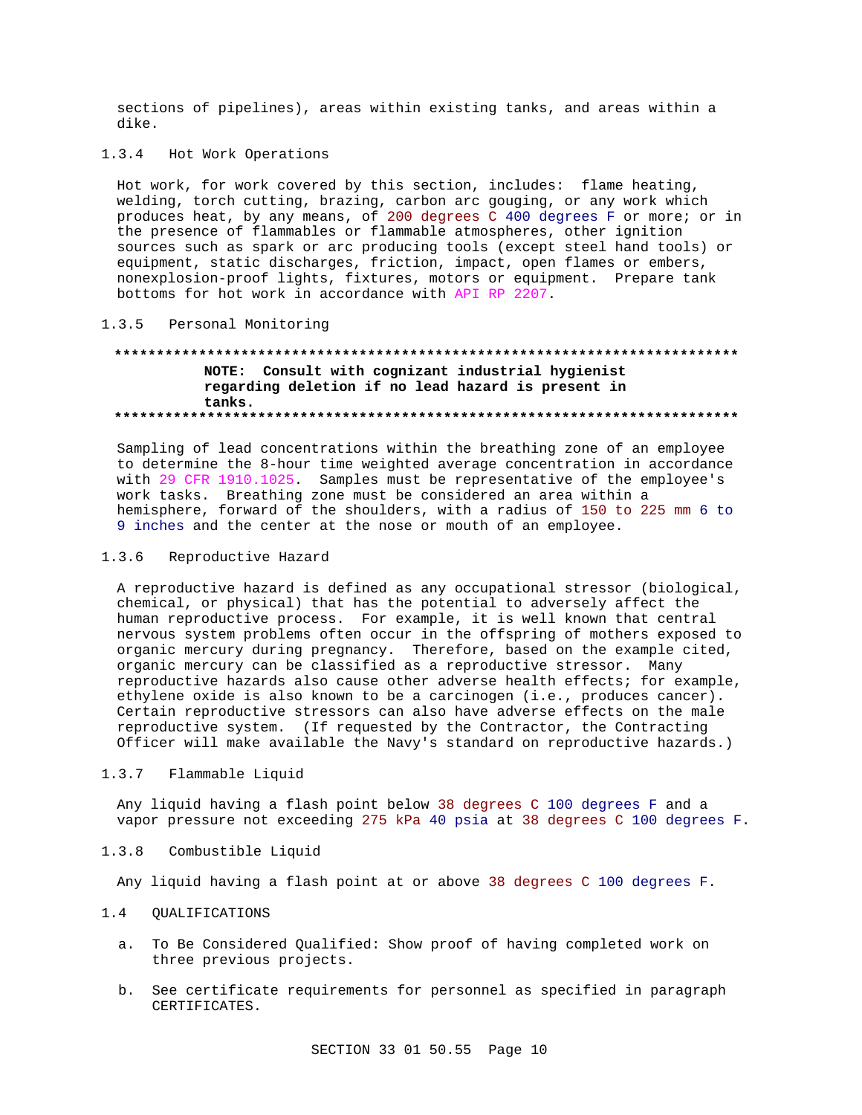sections of pipelines), areas within existing tanks, and areas within a dike.

#### $1.3.4$ Hot Work Operations

Hot work, for work covered by this section, includes: flame heating, welding, torch cutting, brazing, carbon arc gouging, or any work which produces heat, by any means, of 200 degrees C 400 degrees F or more; or in the presence of flammables or flammable atmospheres, other ignition sources such as spark or arc producing tools (except steel hand tools) or equipment, static discharges, friction, impact, open flames or embers, nonexplosion-proof lights, fixtures, motors or equipment. Prepare tank bottoms for hot work in accordance with API RP 2207.

#### $1.3.5$ Personal Monitoring

## NOTE: Consult with cognizant industrial hygienist regarding deletion if no lead hazard is present in tanks.

Sampling of lead concentrations within the breathing zone of an employee to determine the 8-hour time weighted average concentration in accordance with 29 CFR 1910.1025. Samples must be representative of the employee's work tasks. Breathing zone must be considered an area within a hemisphere, forward of the shoulders, with a radius of 150 to 225 mm 6 to 9 inches and the center at the nose or mouth of an employee.

#### $1.3.6$ Reproductive Hazard

A reproductive hazard is defined as any occupational stressor (biological, chemical, or physical) that has the potential to adversely affect the human reproductive process. For example, it is well known that central nervous system problems often occur in the offspring of mothers exposed to organic mercury during pregnancy. Therefore, based on the example cited, organic mercury can be classified as a reproductive stressor. Many reproductive hazards also cause other adverse health effects; for example, ethylene oxide is also known to be a carcinogen (i.e., produces cancer). Certain reproductive stressors can also have adverse effects on the male reproductive system. (If requested by the Contractor, the Contracting Officer will make available the Navy's standard on reproductive hazards.)

#### $1.3.7$ Flammable Liquid

Any liquid having a flash point below 38 degrees C 100 degrees F and a vapor pressure not exceeding 275 kPa 40 psia at 38 degrees C 100 degrees F.

#### Combustible Liquid  $1.3.8$

Any liquid having a flash point at or above 38 degrees C 100 degrees F.

#### $1.4$ **QUALIFICATIONS**

- a. To Be Considered Qualified: Show proof of having completed work on three previous projects.
- b. See certificate requirements for personnel as specified in paragraph CERTIFICATES.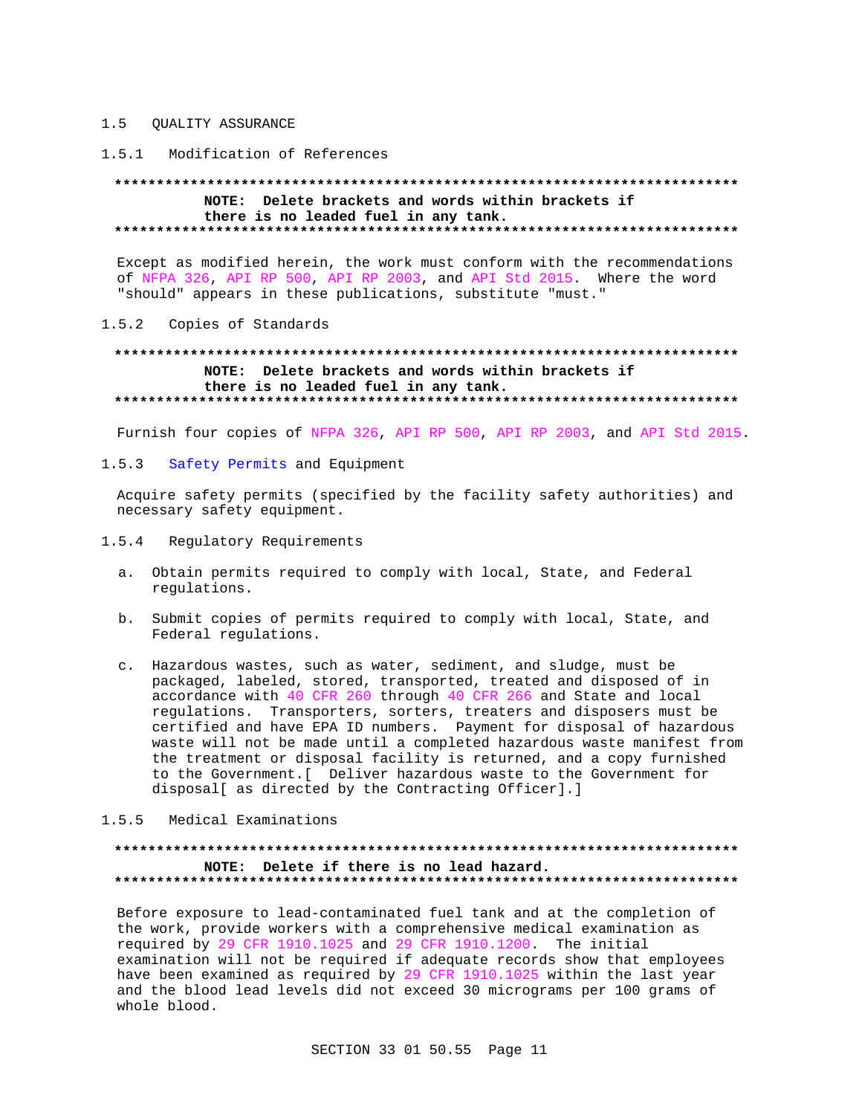### 1.5 QUALITY ASSURANCE

### 1.5.1 Modification of References

## NOTE: Delete brackets and words within brackets if there is no leaded fuel in any tank.

Except as modified herein, the work must conform with the recommendations of NFPA 326, API RP 500, API RP 2003, and API Std 2015. Where the word "should" appears in these publications, substitute "must."

### 1.5.2 Copies of Standards

# NOTE: Delete brackets and words within brackets if there is no leaded fuel in any tank.

Furnish four copies of NFPA 326, API RP 500, API RP 2003, and API Std 2015.

Safety Permits and Equipment  $1.5.3$ 

Acquire safety permits (specified by the facility safety authorities) and necessary safety equipment.

- $1.5.4$ Regulatory Requirements
	- a. Obtain permits required to comply with local, State, and Federal regulations.
	- b. Submit copies of permits required to comply with local, State, and Federal requlations.
	- c. Hazardous wastes, such as water, sediment, and sludge, must be packaged, labeled, stored, transported, treated and disposed of in accordance with 40 CFR 260 through 40 CFR 266 and State and local regulations. Transporters, sorters, treaters and disposers must be certified and have EPA ID numbers. Payment for disposal of hazardous waste will not be made until a completed hazardous waste manifest from the treatment or disposal facility is returned, and a copy furnished to the Government. [ Deliver hazardous waste to the Government for disposal[ as directed by the Contracting Officer].]
- 1.5.5 Medical Examinations

## NOTE: Delete if there is no lead hazard.

Before exposure to lead-contaminated fuel tank and at the completion of the work, provide workers with a comprehensive medical examination as required by 29 CFR 1910.1025 and 29 CFR 1910.1200. The initial examination will not be required if adequate records show that employees have been examined as required by 29 CFR 1910.1025 within the last year and the blood lead levels did not exceed 30 micrograms per 100 grams of whole blood.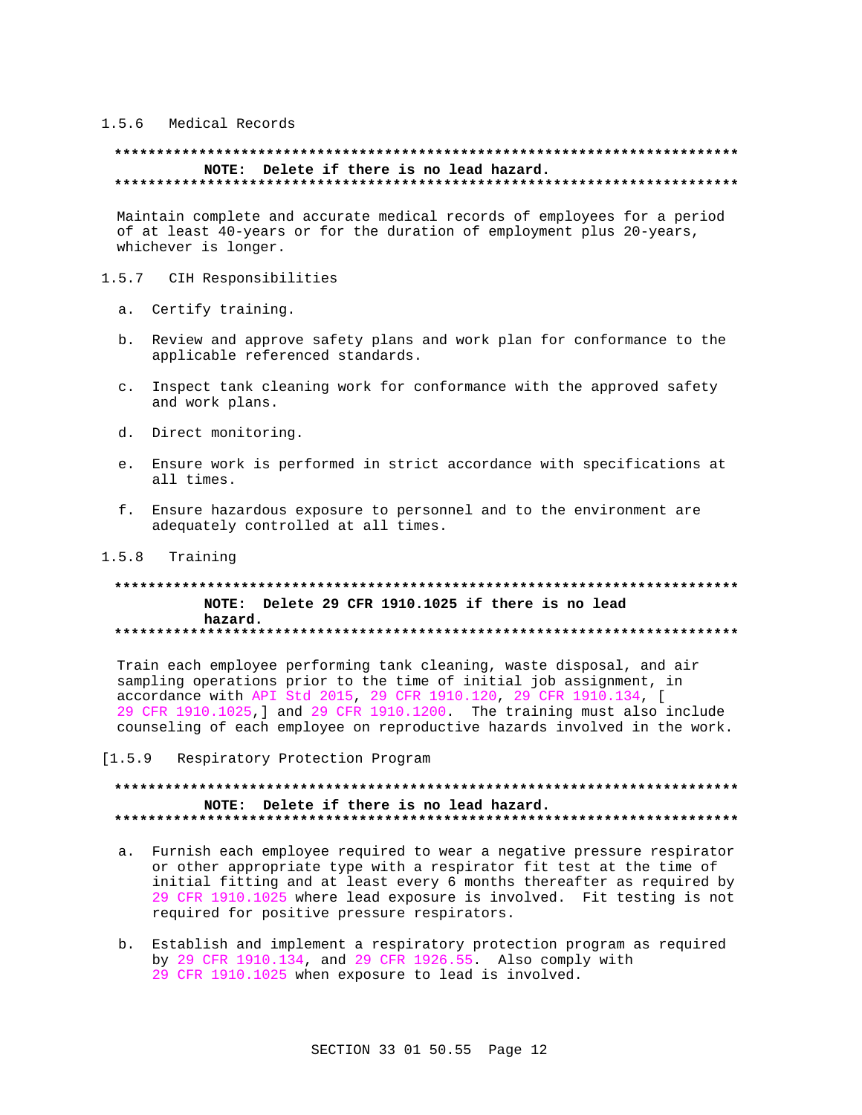### 1.5.6 Medical Records

#### NOTE: Delete if there is no lead hazard.

Maintain complete and accurate medical records of employees for a period of at least 40-years or for the duration of employment plus 20-years, whichever is longer.

### 1.5.7 CIH Responsibilities

- a. Certify training.
- b. Review and approve safety plans and work plan for conformance to the applicable referenced standards.
- c. Inspect tank cleaning work for conformance with the approved safety and work plans.
- d. Direct monitoring.
- e. Ensure work is performed in strict accordance with specifications at all times.
- f. Ensure hazardous exposure to personnel and to the environment are adequately controlled at all times.

## 1.5.8 Training

## NOTE: Delete 29 CFR 1910.1025 if there is no lead hazard.

Train each employee performing tank cleaning, waste disposal, and air sampling operations prior to the time of initial job assignment, in accordance with API Std 2015, 29 CFR 1910.120, 29 CFR 1910.134, [ 29 CFR 1910.1025, ] and 29 CFR 1910.1200. The training must also include counseling of each employee on reproductive hazards involved in the work.

 $[1.5.9]$ Respiratory Protection Program

NOTE: Delete if there is no lead hazard. 

- a. Furnish each employee required to wear a negative pressure respirator or other appropriate type with a respirator fit test at the time of initial fitting and at least every 6 months thereafter as required by 29 CFR 1910.1025 where lead exposure is involved. Fit testing is not required for positive pressure respirators.
- b. Establish and implement a respiratory protection program as required by 29 CFR 1910.134, and 29 CFR 1926.55. Also comply with 29 CFR 1910.1025 when exposure to lead is involved.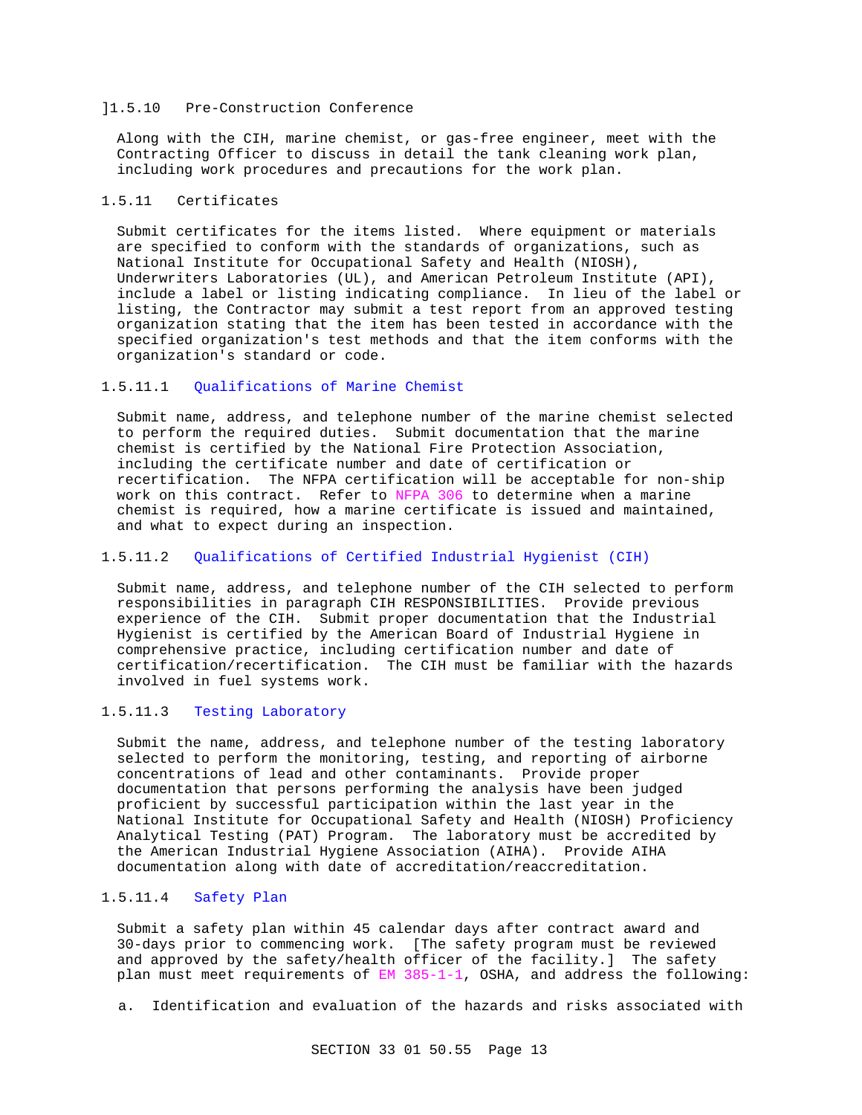## ]1.5.10 Pre-Construction Conference

Along with the CIH, marine chemist, or gas-free engineer, meet with the Contracting Officer to discuss in detail the tank cleaning work plan, including work procedures and precautions for the work plan.

## 1.5.11 Certificates

Submit certificates for the items listed. Where equipment or materials are specified to conform with the standards of organizations, such as National Institute for Occupational Safety and Health (NIOSH), Underwriters Laboratories (UL), and American Petroleum Institute (API), include a label or listing indicating compliance. In lieu of the label or listing, the Contractor may submit a test report from an approved testing organization stating that the item has been tested in accordance with the specified organization's test methods and that the item conforms with the organization's standard or code.

## 1.5.11.1 Qualifications of Marine Chemist

Submit name, address, and telephone number of the marine chemist selected to perform the required duties. Submit documentation that the marine chemist is certified by the National Fire Protection Association, including the certificate number and date of certification or recertification. The NFPA certification will be acceptable for non-ship work on this contract. Refer to NFPA 306 to determine when a marine chemist is required, how a marine certificate is issued and maintained, and what to expect during an inspection.

# 1.5.11.2 Qualifications of Certified Industrial Hygienist (CIH)

Submit name, address, and telephone number of the CIH selected to perform responsibilities in paragraph CIH RESPONSIBILITIES. Provide previous experience of the CIH. Submit proper documentation that the Industrial Hygienist is certified by the American Board of Industrial Hygiene in comprehensive practice, including certification number and date of certification/recertification. The CIH must be familiar with the hazards involved in fuel systems work.

## 1.5.11.3 Testing Laboratory

Submit the name, address, and telephone number of the testing laboratory selected to perform the monitoring, testing, and reporting of airborne concentrations of lead and other contaminants. Provide proper documentation that persons performing the analysis have been judged proficient by successful participation within the last year in the National Institute for Occupational Safety and Health (NIOSH) Proficiency Analytical Testing (PAT) Program. The laboratory must be accredited by the American Industrial Hygiene Association (AIHA). Provide AIHA documentation along with date of accreditation/reaccreditation.

# 1.5.11.4 Safety Plan

Submit a safety plan within 45 calendar days after contract award and 30-days prior to commencing work. [The safety program must be reviewed and approved by the safety/health officer of the facility.] The safety plan must meet requirements of EM 385-1-1, OSHA, and address the following:

a. Identification and evaluation of the hazards and risks associated with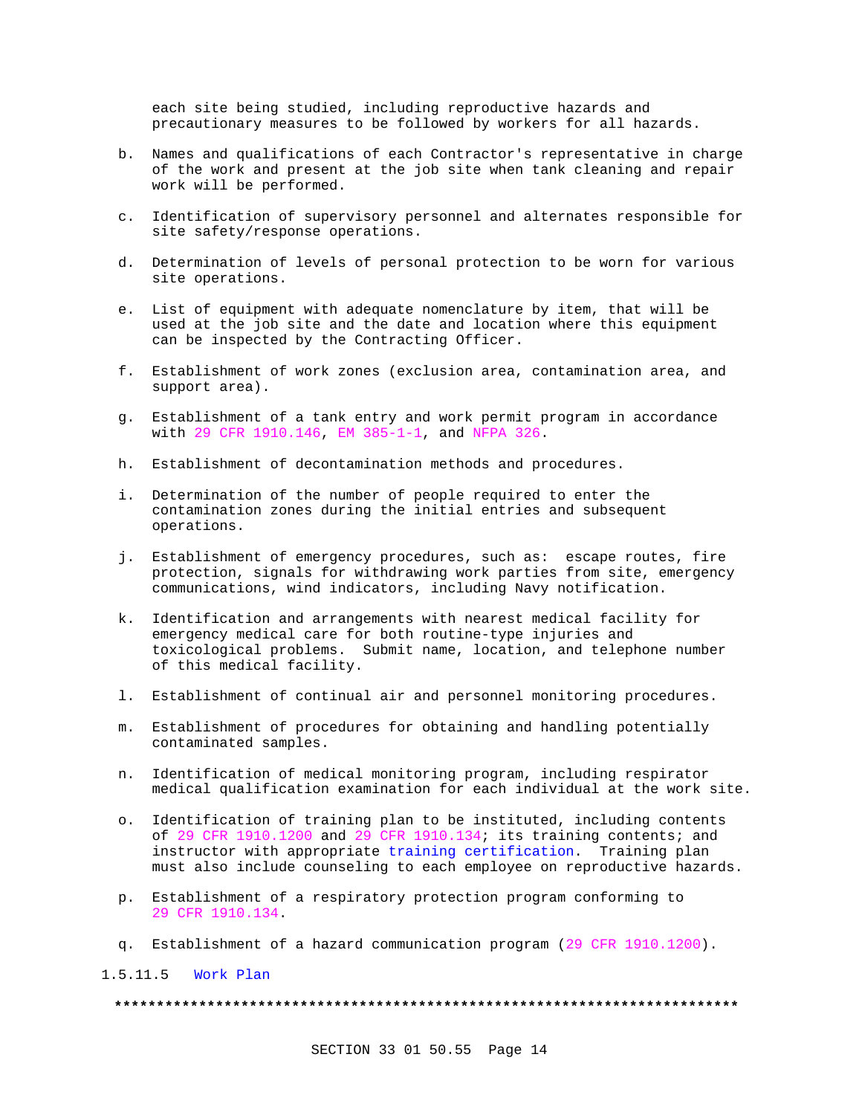each site being studied, including reproductive hazards and precautionary measures to be followed by workers for all hazards.

- b. Names and qualifications of each Contractor's representative in charge of the work and present at the job site when tank cleaning and repair work will be performed.
- c. Identification of supervisory personnel and alternates responsible for site safety/response operations.
- d. Determination of levels of personal protection to be worn for various site operations.
- e. List of equipment with adequate nomenclature by item, that will be used at the job site and the date and location where this equipment can be inspected by the Contracting Officer.
- f. Establishment of work zones (exclusion area, contamination area, and support area).
- g. Establishment of a tank entry and work permit program in accordance with 29 CFR 1910.146, EM 385-1-1, and NFPA 326.
- h. Establishment of decontamination methods and procedures.
- i. Determination of the number of people required to enter the contamination zones during the initial entries and subsequent operations.
- j. Establishment of emergency procedures, such as: escape routes, fire protection, signals for withdrawing work parties from site, emergency communications, wind indicators, including Navy notification.
- k. Identification and arrangements with nearest medical facility for emergency medical care for both routine-type injuries and toxicological problems. Submit name, location, and telephone number of this medical facility.
- l. Establishment of continual air and personnel monitoring procedures.
- m. Establishment of procedures for obtaining and handling potentially contaminated samples.
- n. Identification of medical monitoring program, including respirator medical qualification examination for each individual at the work site.
- o. Identification of training plan to be instituted, including contents of 29 CFR 1910.1200 and 29 CFR 1910.134; its training contents; and instructor with appropriate training certification. Training plan must also include counseling to each employee on reproductive hazards.
- p. Establishment of a respiratory protection program conforming to 29 CFR 1910.134.
- q. Establishment of a hazard communication program (29 CFR 1910.1200).

1.5.11.5 Work Plan

**\*\*\*\*\*\*\*\*\*\*\*\*\*\*\*\*\*\*\*\*\*\*\*\*\*\*\*\*\*\*\*\*\*\*\*\*\*\*\*\*\*\*\*\*\*\*\*\*\*\*\*\*\*\*\*\*\*\*\*\*\*\*\*\*\*\*\*\*\*\*\*\*\*\***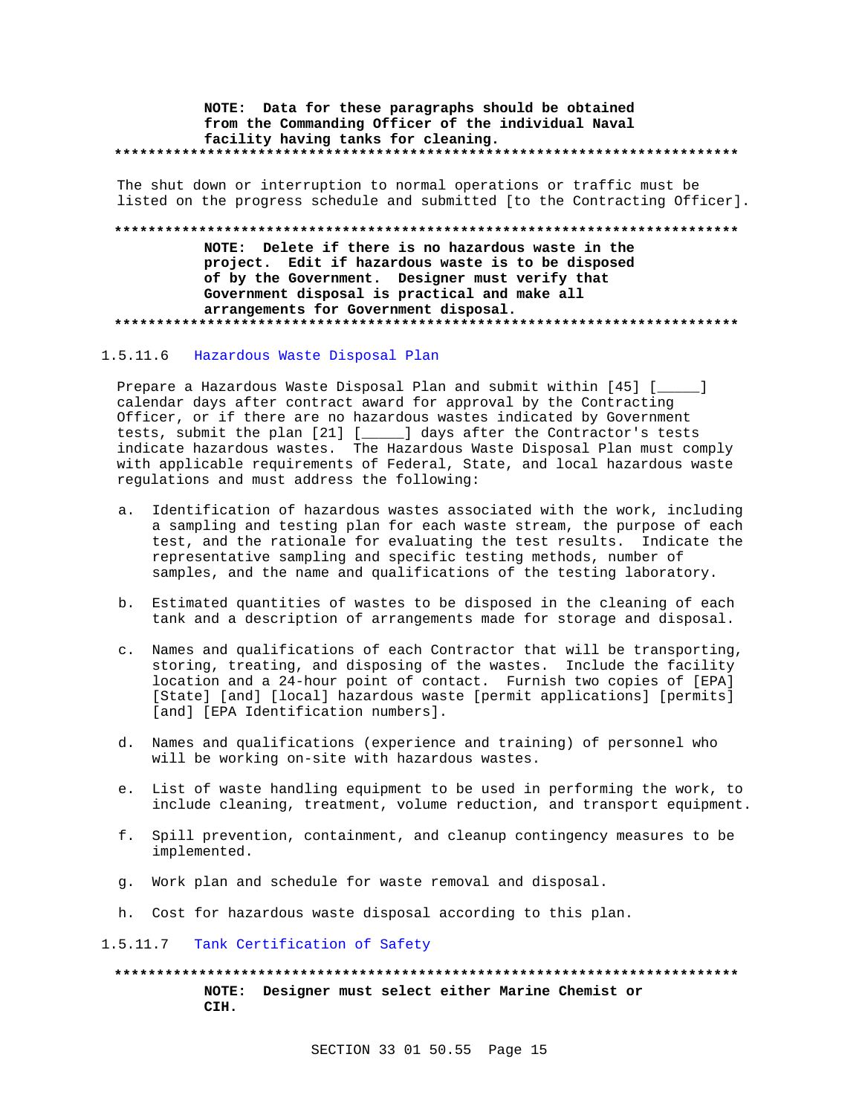## NOTE: Data for these paragraphs should be obtained from the Commanding Officer of the individual Naval facility having tanks for cleaning.

The shut down or interruption to normal operations or traffic must be listed on the progress schedule and submitted [to the Contracting Officer].

### 

NOTE: Delete if there is no hazardous waste in the project. Edit if hazardous waste is to be disposed of by the Government. Designer must verify that Government disposal is practical and make all arrangements for Government disposal. \*\*\*\*\*\*\*\*\*\*\*\*\*\*\*\*\*\*\*\*\*\*\*\*\* 

### 1.5.11.6 Hazardous Waste Disposal Plan

Prepare a Hazardous Waste Disposal Plan and submit within [45] [\_\_\_\_\_  $\blacksquare$ calendar days after contract award for approval by the Contracting Officer, or if there are no hazardous wastes indicated by Government tests, submit the plan [21] [\_\_\_\_] days after the Contractor's tests indicate hazardous wastes. The Hazardous Waste Disposal Plan must comply with applicable requirements of Federal, State, and local hazardous waste regulations and must address the following:

- a. Identification of hazardous wastes associated with the work, including a sampling and testing plan for each waste stream, the purpose of each test, and the rationale for evaluating the test results. Indicate the representative sampling and specific testing methods, number of samples, and the name and qualifications of the testing laboratory.
- b. Estimated quantities of wastes to be disposed in the cleaning of each tank and a description of arrangements made for storage and disposal.
- c. Names and qualifications of each Contractor that will be transporting, storing, treating, and disposing of the wastes. Include the facility location and a 24-hour point of contact. Furnish two copies of [EPA] [State] [and] [local] hazardous waste [permit applications] [permits] [and] [EPA Identification numbers].
- d. Names and qualifications (experience and training) of personnel who will be working on-site with hazardous wastes.
- e. List of waste handling equipment to be used in performing the work, to include cleaning, treatment, volume reduction, and transport equipment.
- f. Spill prevention, containment, and cleanup contingency measures to be implemented.
- g. Work plan and schedule for waste removal and disposal.
- h. Cost for hazardous waste disposal according to this plan.

## 1.5.11.7 Tank Certification of Safety

NOTE: Designer must select either Marine Chemist or CIH.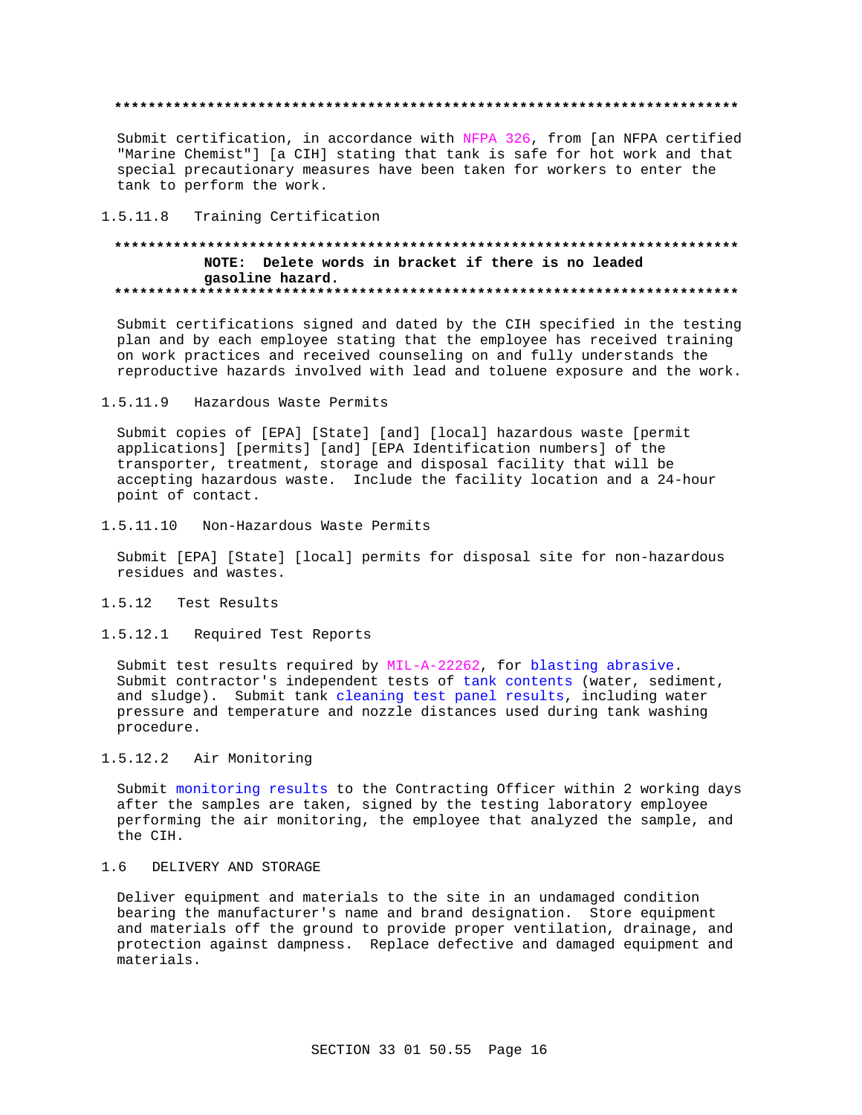#### 

Submit certification, in accordance with NFPA 326, from [an NFPA certified "Marine Chemist"] [a CIH] stating that tank is safe for hot work and that special precautionary measures have been taken for workers to enter the tank to perform the work.

#### $1.5.11.8$ Training Certification

## NOTE: Delete words in bracket if there is no leaded gasoline hazard.

Submit certifications signed and dated by the CIH specified in the testing plan and by each employee stating that the employee has received training on work practices and received counseling on and fully understands the reproductive hazards involved with lead and toluene exposure and the work.

 $1.5.11.9$ Hazardous Waste Permits

Submit copies of [EPA] [State] [and] [local] hazardous waste [permit applications] [permits] [and] [EPA Identification numbers] of the transporter, treatment, storage and disposal facility that will be accepting hazardous waste. Include the facility location and a 24-hour point of contact.

1.5.11.10 Non-Hazardous Waste Permits

Submit [EPA] [State] [local] permits for disposal site for non-hazardous residues and wastes.

- 1.5.12 Test Results
- $1.5.12.1$ Required Test Reports

Submit test results required by MIL-A-22262, for blasting abrasive. Submit contractor's independent tests of tank contents (water, sediment, and sludge). Submit tank cleaning test panel results, including water pressure and temperature and nozzle distances used during tank washing procedure.

#### $1.5.12.2$ Air Monitoring

Submit monitoring results to the Contracting Officer within 2 working days after the samples are taken, signed by the testing laboratory employee performing the air monitoring, the employee that analyzed the sample, and the CIH.

#### DELIVERY AND STORAGE  $1.6$

Deliver equipment and materials to the site in an undamaged condition bearing the manufacturer's name and brand designation. Store equipment and materials off the ground to provide proper ventilation, drainage, and protection against dampness. Replace defective and damaged equipment and materials.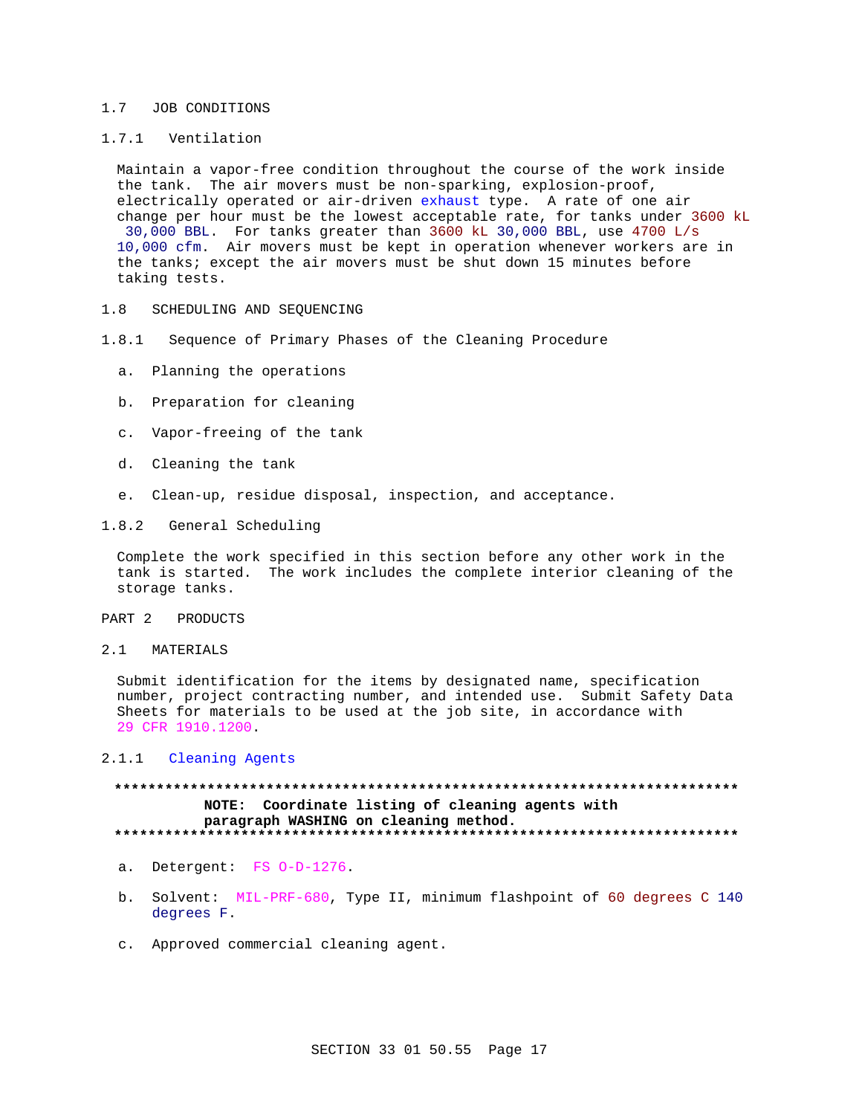### 1.7 JOB CONDITIONS

## 1.7.1 Ventilation

Maintain a vapor-free condition throughout the course of the work inside the tank. The air movers must be non-sparking, explosion-proof, electrically operated or air-driven exhaust type. A rate of one air change per hour must be the lowest acceptable rate, for tanks under 3600 kL 30,000 BBL. For tanks greater than 3600 kL 30,000 BBL, use 4700 L/s 10,000 cfm. Air movers must be kept in operation whenever workers are in the tanks; except the air movers must be shut down 15 minutes before taking tests.

#### $1.8$ SCHEDULING AND SEQUENCING

- $1.8.1$ Sequence of Primary Phases of the Cleaning Procedure
	- a. Planning the operations
	- b. Preparation for cleaning
	- c. Vapor-freeing of the tank
	- d. Cleaning the tank
	- e. Clean-up, residue disposal, inspection, and acceptance.
- $1.8.2$ General Scheduling

Complete the work specified in this section before any other work in the tank is started. The work includes the complete interior cleaning of the storage tanks.

## PART 2 PRODUCTS

 $2.1$ MATERIALS

> Submit identification for the items by designated name, specification number, project contracting number, and intended use. Submit Safety Data Sheets for materials to be used at the job site, in accordance with 29 CFR 1910.1200.

## 2.1.1 Cleaning Agents

NOTE: Coordinate listing of cleaning agents with paragraph WASHING on cleaning method. 

- a. Detergent: FS 0-D-1276.
- b. Solvent: MIL-PRF-680, Type II, minimum flashpoint of 60 degrees C 140 degrees F.
- c. Approved commercial cleaning agent.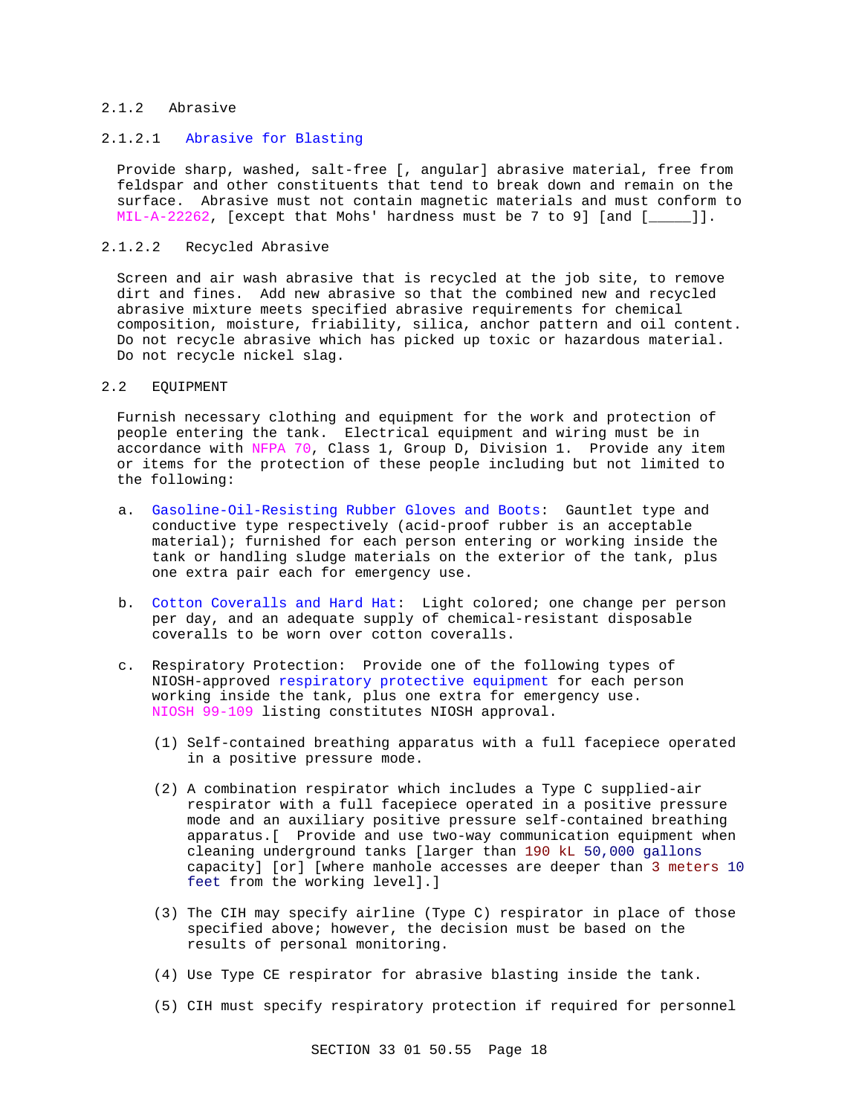## 2.1.2 Abrasive

# 2.1.2.1 Abrasive for Blasting

Provide sharp, washed, salt-free [, angular] abrasive material, free from feldspar and other constituents that tend to break down and remain on the surface. Abrasive must not contain magnetic materials and must conform to  $MIL-A-22262$ , [except that Mohs' hardness must be 7 to 9] [and  $[\underline{\hspace{1cm}}]$ ].

## 2.1.2.2 Recycled Abrasive

Screen and air wash abrasive that is recycled at the job site, to remove dirt and fines. Add new abrasive so that the combined new and recycled abrasive mixture meets specified abrasive requirements for chemical composition, moisture, friability, silica, anchor pattern and oil content. Do not recycle abrasive which has picked up toxic or hazardous material. Do not recycle nickel slag.

### 2.2 EQUIPMENT

Furnish necessary clothing and equipment for the work and protection of people entering the tank. Electrical equipment and wiring must be in accordance with NFPA 70, Class 1, Group D, Division 1. Provide any item or items for the protection of these people including but not limited to the following:

- a. Gasoline-Oil-Resisting Rubber Gloves and Boots: Gauntlet type and conductive type respectively (acid-proof rubber is an acceptable material); furnished for each person entering or working inside the tank or handling sludge materials on the exterior of the tank, plus one extra pair each for emergency use.
- b. Cotton Coveralls and Hard Hat: Light colored; one change per person per day, and an adequate supply of chemical-resistant disposable coveralls to be worn over cotton coveralls.
- c. Respiratory Protection: Provide one of the following types of NIOSH-approved respiratory protective equipment for each person working inside the tank, plus one extra for emergency use. NIOSH 99-109 listing constitutes NIOSH approval.
	- (1) Self-contained breathing apparatus with a full facepiece operated in a positive pressure mode.
	- (2) A combination respirator which includes a Type C supplied-air respirator with a full facepiece operated in a positive pressure mode and an auxiliary positive pressure self-contained breathing apparatus.[ Provide and use two-way communication equipment when cleaning underground tanks [larger than 190 kL 50,000 gallons capacity] [or] [where manhole accesses are deeper than 3 meters 10 feet from the working level].]
	- (3) The CIH may specify airline (Type C) respirator in place of those specified above; however, the decision must be based on the results of personal monitoring.
	- (4) Use Type CE respirator for abrasive blasting inside the tank.
	- (5) CIH must specify respiratory protection if required for personnel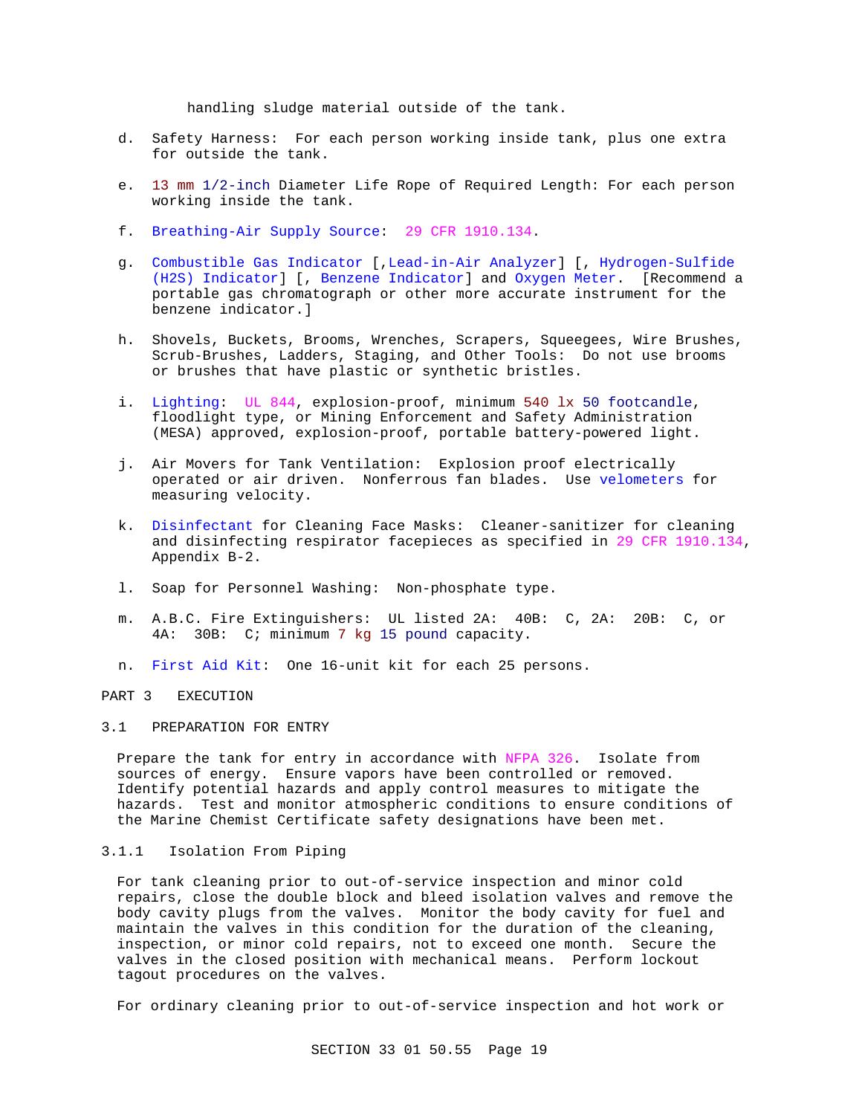handling sludge material outside of the tank.

- d. Safety Harness: For each person working inside tank, plus one extra for outside the tank.
- e. 13 mm 1/2-inch Diameter Life Rope of Required Length: For each person working inside the tank.
- f. Breathing-Air Supply Source: 29 CFR 1910.134.
- g. Combustible Gas Indicator [,Lead-in-Air Analyzer] [, Hydrogen-Sulfide (H2S) Indicator] [, Benzene Indicator] and Oxygen Meter. [Recommend a portable gas chromatograph or other more accurate instrument for the benzene indicator.]
- h. Shovels, Buckets, Brooms, Wrenches, Scrapers, Squeegees, Wire Brushes, Scrub-Brushes, Ladders, Staging, and Other Tools: Do not use brooms or brushes that have plastic or synthetic bristles.
- i. Lighting: UL 844, explosion-proof, minimum 540 lx 50 footcandle, floodlight type, or Mining Enforcement and Safety Administration (MESA) approved, explosion-proof, portable battery-powered light.
- j. Air Movers for Tank Ventilation: Explosion proof electrically operated or air driven. Nonferrous fan blades. Use velometers for measuring velocity.
- k. Disinfectant for Cleaning Face Masks: Cleaner-sanitizer for cleaning and disinfecting respirator facepieces as specified in 29 CFR 1910.134, Appendix B-2.
- l. Soap for Personnel Washing: Non-phosphate type.
- m. A.B.C. Fire Extinguishers: UL listed 2A: 40B: C, 2A: 20B: C, or 4A: 30B: C; minimum 7 kg 15 pound capacity.
- n. First Aid Kit: One 16-unit kit for each 25 persons.

## PART 3 EXECUTION

#### 3.1 PREPARATION FOR ENTRY

Prepare the tank for entry in accordance with NFPA 326. Isolate from sources of energy. Ensure vapors have been controlled or removed. Identify potential hazards and apply control measures to mitigate the hazards. Test and monitor atmospheric conditions to ensure conditions of the Marine Chemist Certificate safety designations have been met.

### 3.1.1 Isolation From Piping

For tank cleaning prior to out-of-service inspection and minor cold repairs, close the double block and bleed isolation valves and remove the body cavity plugs from the valves. Monitor the body cavity for fuel and maintain the valves in this condition for the duration of the cleaning, inspection, or minor cold repairs, not to exceed one month. Secure the valves in the closed position with mechanical means. Perform lockout tagout procedures on the valves.

For ordinary cleaning prior to out-of-service inspection and hot work or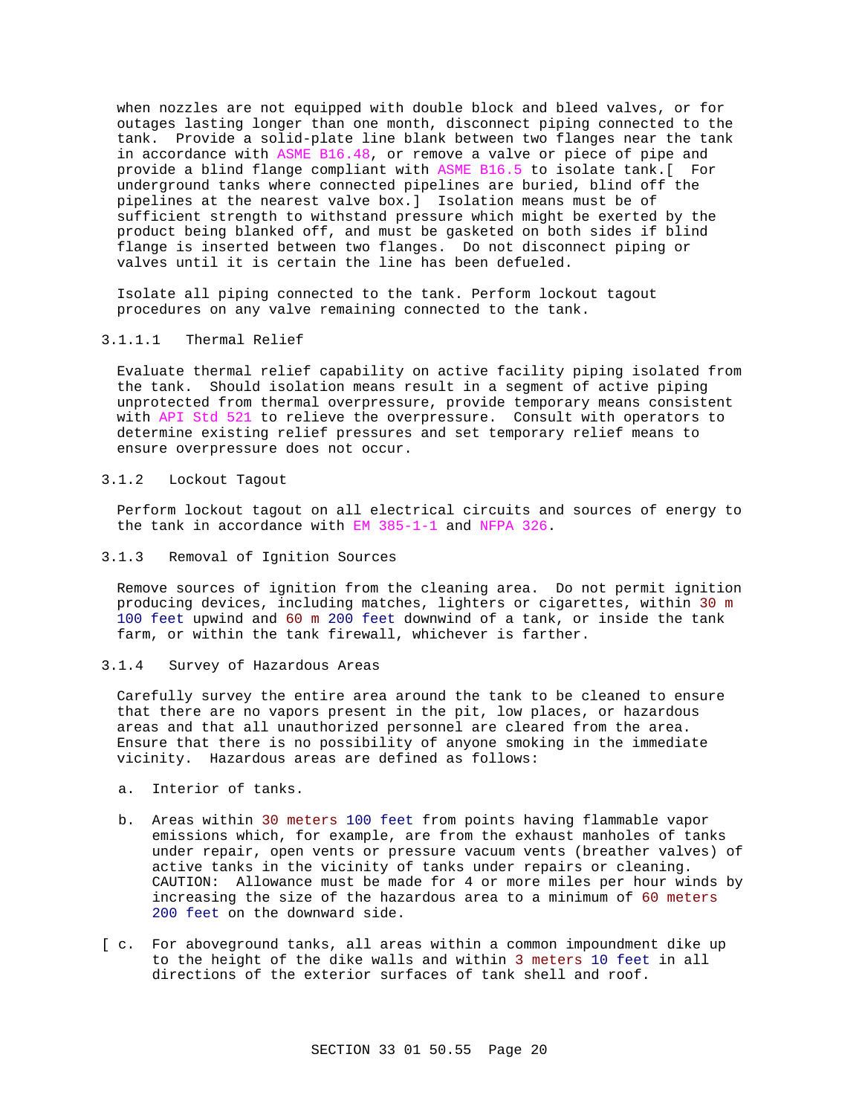when nozzles are not equipped with double block and bleed valves, or for outages lasting longer than one month, disconnect piping connected to the tank. Provide a solid-plate line blank between two flanges near the tank in accordance with ASME B16.48, or remove a valve or piece of pipe and provide a blind flange compliant with ASME B16.5 to isolate tank.[ For underground tanks where connected pipelines are buried, blind off the pipelines at the nearest valve box.] Isolation means must be of sufficient strength to withstand pressure which might be exerted by the product being blanked off, and must be gasketed on both sides if blind flange is inserted between two flanges. Do not disconnect piping or valves until it is certain the line has been defueled.

Isolate all piping connected to the tank. Perform lockout tagout procedures on any valve remaining connected to the tank.

# 3.1.1.1 Thermal Relief

Evaluate thermal relief capability on active facility piping isolated from the tank. Should isolation means result in a segment of active piping unprotected from thermal overpressure, provide temporary means consistent with API Std 521 to relieve the overpressure. Consult with operators to determine existing relief pressures and set temporary relief means to ensure overpressure does not occur.

## 3.1.2 Lockout Tagout

Perform lockout tagout on all electrical circuits and sources of energy to the tank in accordance with EM 385-1-1 and NFPA 326.

## 3.1.3 Removal of Ignition Sources

Remove sources of ignition from the cleaning area. Do not permit ignition producing devices, including matches, lighters or cigarettes, within 30 m 100 feet upwind and 60 m 200 feet downwind of a tank, or inside the tank farm, or within the tank firewall, whichever is farther.

## 3.1.4 Survey of Hazardous Areas

Carefully survey the entire area around the tank to be cleaned to ensure that there are no vapors present in the pit, low places, or hazardous areas and that all unauthorized personnel are cleared from the area. Ensure that there is no possibility of anyone smoking in the immediate vicinity. Hazardous areas are defined as follows:

- a. Interior of tanks.
- b. Areas within 30 meters 100 feet from points having flammable vapor emissions which, for example, are from the exhaust manholes of tanks under repair, open vents or pressure vacuum vents (breather valves) of active tanks in the vicinity of tanks under repairs or cleaning. CAUTION: Allowance must be made for 4 or more miles per hour winds by increasing the size of the hazardous area to a minimum of 60 meters 200 feet on the downward side.
- [ c. For aboveground tanks, all areas within a common impoundment dike up to the height of the dike walls and within 3 meters 10 feet in all directions of the exterior surfaces of tank shell and roof.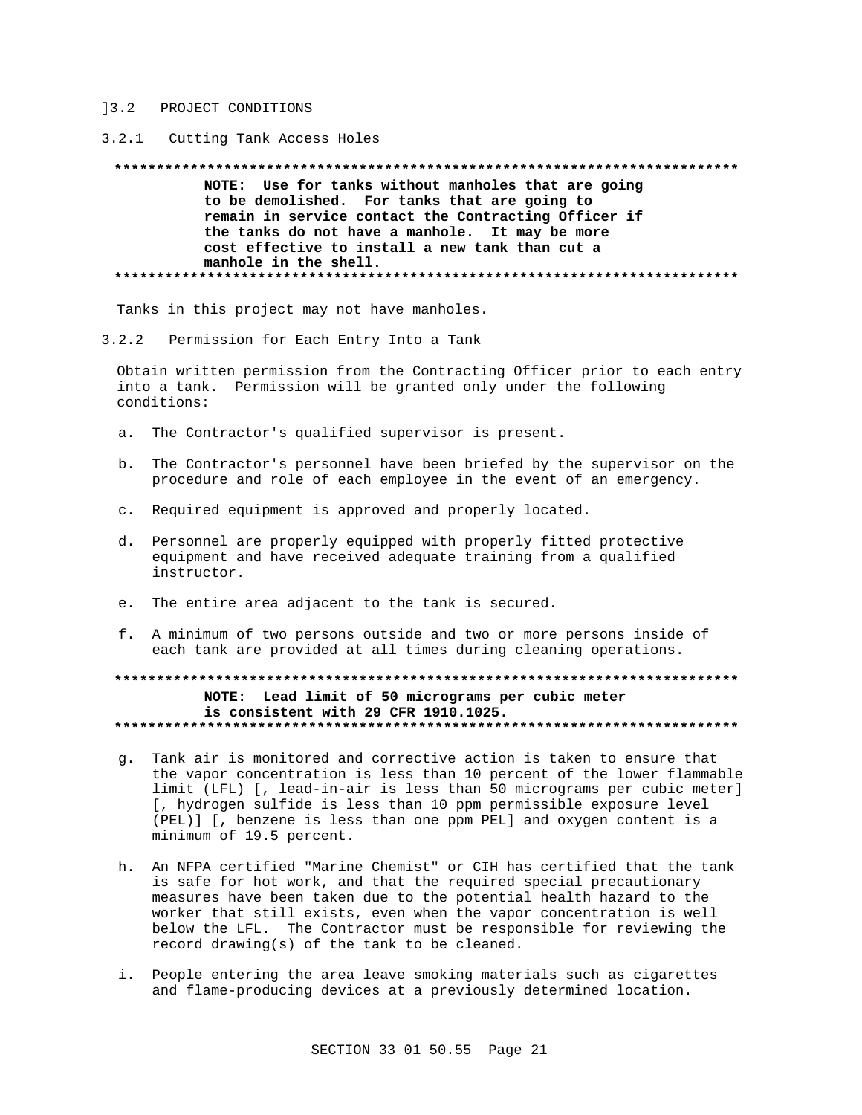### 13.2 PROJECT CONDITIONS

3.2.1 Cutting Tank Access Holes

#### 

NOTE: Use for tanks without manholes that are going to be demolished. For tanks that are going to remain in service contact the Contracting Officer if the tanks do not have a manhole. It may be more cost effective to install a new tank than cut a manhole in the shell. 

Tanks in this project may not have manholes.

 $3.2.2$ Permission for Each Entry Into a Tank

Obtain written permission from the Contracting Officer prior to each entry into a tank. Permission will be granted only under the following conditions:

- a. The Contractor's qualified supervisor is present.
- b. The Contractor's personnel have been briefed by the supervisor on the procedure and role of each employee in the event of an emergency.
- c. Required equipment is approved and properly located.
- d. Personnel are properly equipped with properly fitted protective equipment and have received adequate training from a qualified instructor.
- e. The entire area adjacent to the tank is secured.
- f. A minimum of two persons outside and two or more persons inside of each tank are provided at all times during cleaning operations.

NOTE: Lead limit of 50 micrograms per cubic meter is consistent with 29 CFR 1910.1025. 

- q. Tank air is monitored and corrective action is taken to ensure that the vapor concentration is less than 10 percent of the lower flammable limit (LFL) [, lead-in-air is less than 50 micrograms per cubic meter] [, hydrogen sulfide is less than 10 ppm permissible exposure level (PEL)] [, benzene is less than one ppm PEL] and oxygen content is a minimum of 19.5 percent.
- h. An NFPA certified "Marine Chemist" or CIH has certified that the tank is safe for hot work, and that the required special precautionary measures have been taken due to the potential health hazard to the worker that still exists, even when the vapor concentration is well below the LFL. The Contractor must be responsible for reviewing the record drawing(s) of the tank to be cleaned.
- i. People entering the area leave smoking materials such as cigarettes and flame-producing devices at a previously determined location.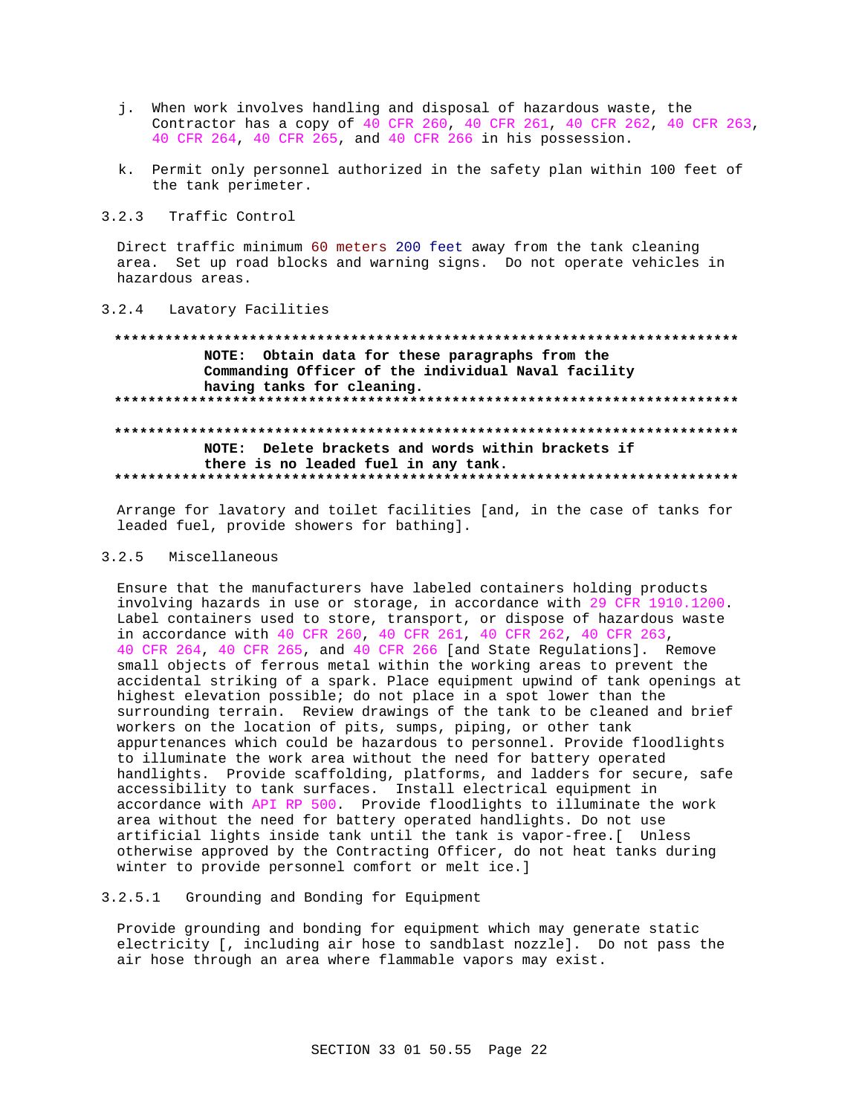- j. When work involves handling and disposal of hazardous waste, the Contractor has a copy of 40 CFR 260, 40 CFR 261, 40 CFR 262, 40 CFR 263, 40 CFR 264, 40 CFR 265, and 40 CFR 266 in his possession.
- k. Permit only personnel authorized in the safety plan within 100 feet of the tank perimeter.

#### $3.2.3$ Traffic Control

Direct traffic minimum 60 meters 200 feet away from the tank cleaning area. Set up road blocks and warning signs. Do not operate vehicles in hazardous areas.

## 3.2.4 Lavatory Facilities

NOTE: Obtain data for these paragraphs from the Commanding Officer of the individual Naval facility having tanks for cleaning. NOTE: Delete brackets and words within brackets if there is no leaded fuel in any tank. 

Arrange for lavatory and toilet facilities [and, in the case of tanks for leaded fuel, provide showers for bathing].

#### $3.2.5$ Miscellaneous

Ensure that the manufacturers have labeled containers holding products involving hazards in use or storage, in accordance with 29 CFR 1910.1200. Label containers used to store, transport, or dispose of hazardous waste in accordance with 40 CFR 260, 40 CFR 261, 40 CFR 262, 40 CFR 263, 40 CFR 264, 40 CFR 265, and 40 CFR 266 [and State Regulations]. Remove small objects of ferrous metal within the working areas to prevent the accidental striking of a spark. Place equipment upwind of tank openings at highest elevation possible; do not place in a spot lower than the surrounding terrain. Review drawings of the tank to be cleaned and brief workers on the location of pits, sumps, piping, or other tank appurtenances which could be hazardous to personnel. Provide floodlights to illuminate the work area without the need for battery operated handlights. Provide scaffolding, platforms, and ladders for secure, safe accessibility to tank surfaces. Install electrical equipment in accordance with API RP 500. Provide floodlights to illuminate the work area without the need for battery operated handlights. Do not use artificial lights inside tank until the tank is vapor-free.[ Unless otherwise approved by the Contracting Officer, do not heat tanks during winter to provide personnel comfort or melt ice.]

#### $3.2.5.1$ Grounding and Bonding for Equipment

Provide grounding and bonding for equipment which may generate static electricity [, including air hose to sandblast nozzle]. Do not pass the air hose through an area where flammable vapors may exist.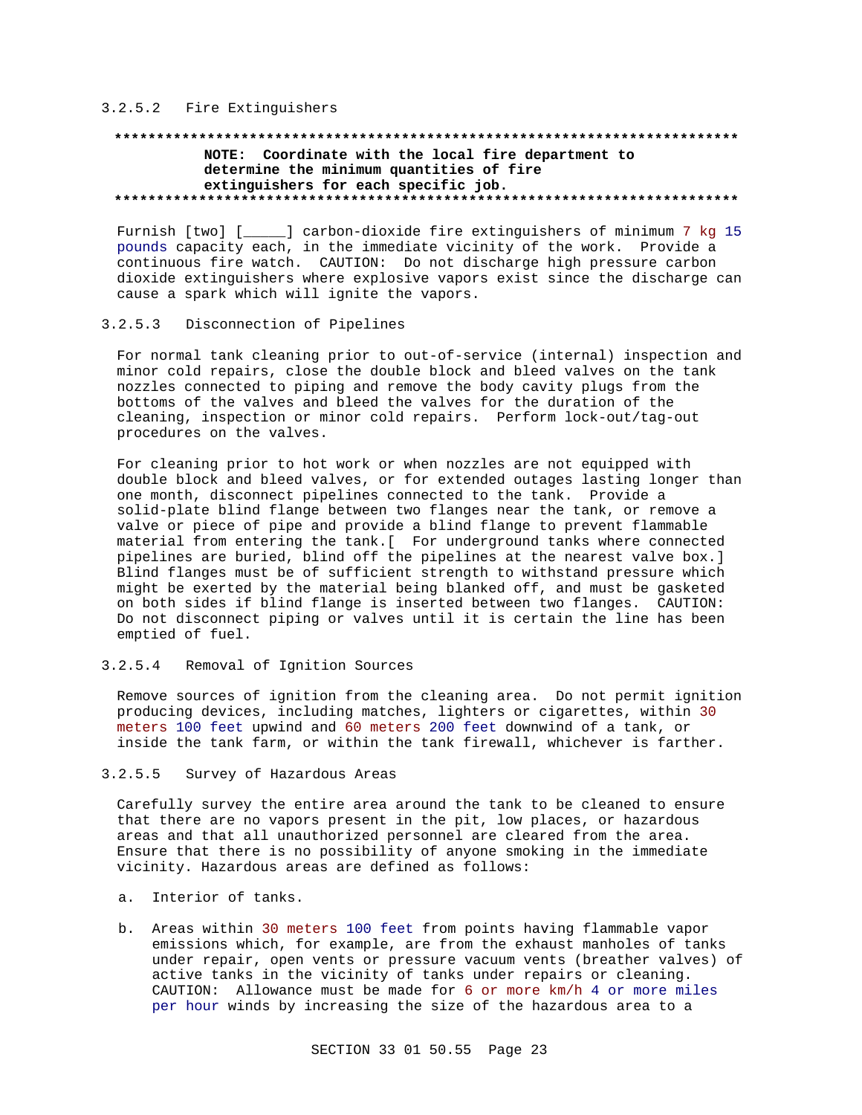## 3.2.5.2 Fire Extinguishers

## **\*\*\*\*\*\*\*\*\*\*\*\*\*\*\*\*\*\*\*\*\*\*\*\*\*\*\*\*\*\*\*\*\*\*\*\*\*\*\*\*\*\*\*\*\*\*\*\*\*\*\*\*\*\*\*\*\*\*\*\*\*\*\*\*\*\*\*\*\*\*\*\*\*\* NOTE: Coordinate with the local fire department to determine the minimum quantities of fire extinguishers for each specific job. \*\*\*\*\*\*\*\*\*\*\*\*\*\*\*\*\*\*\*\*\*\*\*\*\*\*\*\*\*\*\*\*\*\*\*\*\*\*\*\*\*\*\*\*\*\*\*\*\*\*\*\*\*\*\*\*\*\*\*\*\*\*\*\*\*\*\*\*\*\*\*\*\*\***

Furnish [two] [\_\_\_\_\_] carbon-dioxide fire extinguishers of minimum 7 kg 15 pounds capacity each, in the immediate vicinity of the work. Provide a continuous fire watch. CAUTION: Do not discharge high pressure carbon dioxide extinguishers where explosive vapors exist since the discharge can cause a spark which will ignite the vapors.

## 3.2.5.3 Disconnection of Pipelines

For normal tank cleaning prior to out-of-service (internal) inspection and minor cold repairs, close the double block and bleed valves on the tank nozzles connected to piping and remove the body cavity plugs from the bottoms of the valves and bleed the valves for the duration of the cleaning, inspection or minor cold repairs. Perform lock-out/tag-out procedures on the valves.

For cleaning prior to hot work or when nozzles are not equipped with double block and bleed valves, or for extended outages lasting longer than one month, disconnect pipelines connected to the tank. Provide a solid-plate blind flange between two flanges near the tank, or remove a valve or piece of pipe and provide a blind flange to prevent flammable material from entering the tank.[ For underground tanks where connected pipelines are buried, blind off the pipelines at the nearest valve box.] Blind flanges must be of sufficient strength to withstand pressure which might be exerted by the material being blanked off, and must be gasketed on both sides if blind flange is inserted between two flanges. CAUTION: Do not disconnect piping or valves until it is certain the line has been emptied of fuel.

## 3.2.5.4 Removal of Ignition Sources

Remove sources of ignition from the cleaning area. Do not permit ignition producing devices, including matches, lighters or cigarettes, within 30 meters 100 feet upwind and 60 meters 200 feet downwind of a tank, or inside the tank farm, or within the tank firewall, whichever is farther.

## 3.2.5.5 Survey of Hazardous Areas

Carefully survey the entire area around the tank to be cleaned to ensure that there are no vapors present in the pit, low places, or hazardous areas and that all unauthorized personnel are cleared from the area. Ensure that there is no possibility of anyone smoking in the immediate vicinity. Hazardous areas are defined as follows:

- a. Interior of tanks.
- b. Areas within 30 meters 100 feet from points having flammable vapor emissions which, for example, are from the exhaust manholes of tanks under repair, open vents or pressure vacuum vents (breather valves) of active tanks in the vicinity of tanks under repairs or cleaning. CAUTION: Allowance must be made for 6 or more km/h 4 or more miles per hour winds by increasing the size of the hazardous area to a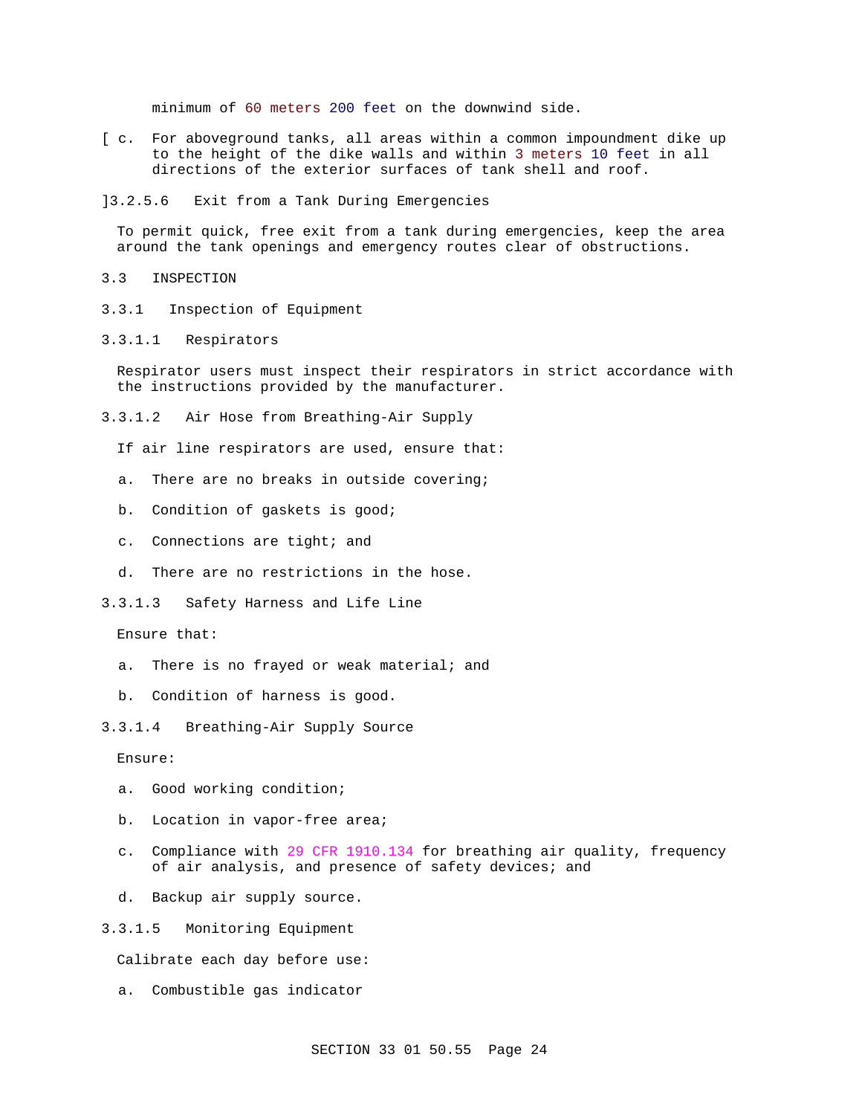minimum of 60 meters 200 feet on the downwind side.

- [ c. For aboveground tanks, all areas within a common impoundment dike up to the height of the dike walls and within 3 meters 10 feet in all directions of the exterior surfaces of tank shell and roof.
- ]3.2.5.6 Exit from a Tank During Emergencies

To permit quick, free exit from a tank during emergencies, keep the area around the tank openings and emergency routes clear of obstructions.

- 3.3 INSPECTION
- 3.3.1 Inspection of Equipment
- 3.3.1.1 Respirators

Respirator users must inspect their respirators in strict accordance with the instructions provided by the manufacturer.

3.3.1.2 Air Hose from Breathing-Air Supply

If air line respirators are used, ensure that:

- a. There are no breaks in outside covering;
- b. Condition of gaskets is good;
- c. Connections are tight; and
- d. There are no restrictions in the hose.
- 3.3.1.3 Safety Harness and Life Line

Ensure that:

- a. There is no frayed or weak material; and
- b. Condition of harness is good.
- 3.3.1.4 Breathing-Air Supply Source

Ensure:

- a. Good working condition;
- b. Location in vapor-free area;
- c. Compliance with 29 CFR 1910.134 for breathing air quality, frequency of air analysis, and presence of safety devices; and
- d. Backup air supply source.

3.3.1.5 Monitoring Equipment

Calibrate each day before use:

a. Combustible gas indicator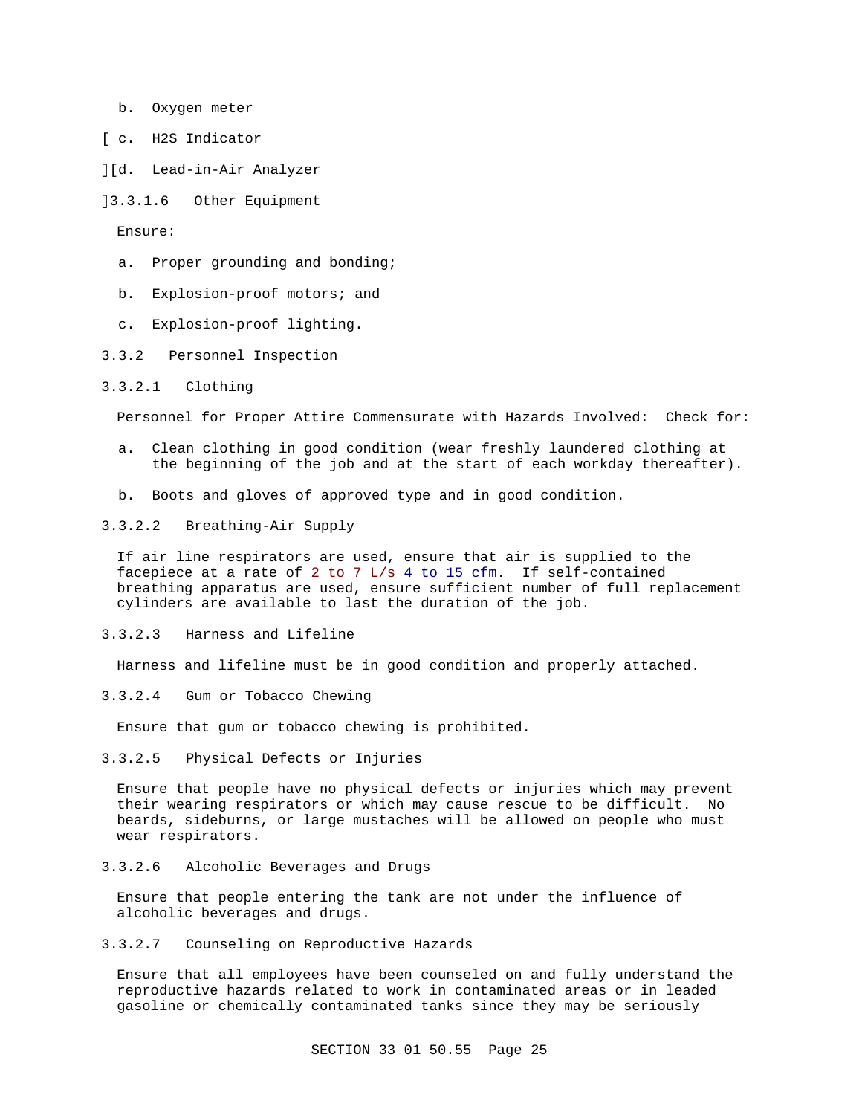- b. Oxygen meter
- [ c. H2S Indicator
- ][d. Lead-in-Air Analyzer
- ]3.3.1.6 Other Equipment

Ensure:

- a. Proper grounding and bonding;
- b. Explosion-proof motors; and
- c. Explosion-proof lighting.
- 3.3.2 Personnel Inspection
- 3.3.2.1 Clothing

Personnel for Proper Attire Commensurate with Hazards Involved: Check for:

- a. Clean clothing in good condition (wear freshly laundered clothing at the beginning of the job and at the start of each workday thereafter).
- b. Boots and gloves of approved type and in good condition.
- 3.3.2.2 Breathing-Air Supply

If air line respirators are used, ensure that air is supplied to the facepiece at a rate of 2 to 7 L/s 4 to 15 cfm. If self-contained breathing apparatus are used, ensure sufficient number of full replacement cylinders are available to last the duration of the job.

3.3.2.3 Harness and Lifeline

Harness and lifeline must be in good condition and properly attached.

3.3.2.4 Gum or Tobacco Chewing

Ensure that gum or tobacco chewing is prohibited.

3.3.2.5 Physical Defects or Injuries

Ensure that people have no physical defects or injuries which may prevent their wearing respirators or which may cause rescue to be difficult. No beards, sideburns, or large mustaches will be allowed on people who must wear respirators.

3.3.2.6 Alcoholic Beverages and Drugs

Ensure that people entering the tank are not under the influence of alcoholic beverages and drugs.

3.3.2.7 Counseling on Reproductive Hazards

Ensure that all employees have been counseled on and fully understand the reproductive hazards related to work in contaminated areas or in leaded gasoline or chemically contaminated tanks since they may be seriously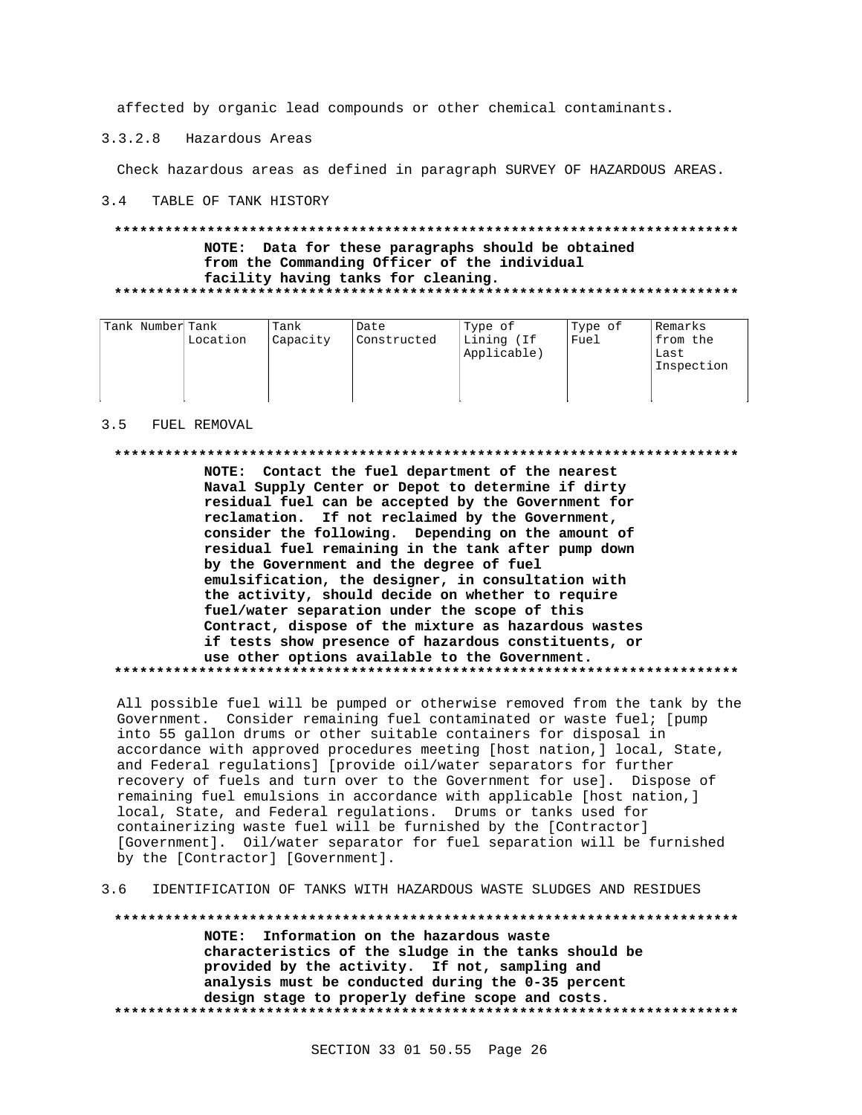affected by organic lead compounds or other chemical contaminants.

#### $3.3.2.8$ Hazardous Areas

Check hazardous areas as defined in paragraph SURVEY OF HAZARDOUS AREAS.

TABLE OF TANK HISTORY  $3\quad 4$ 

# NOTE: Data for these paragraphs should be obtained from the Commanding Officer of the individual facility having tanks for cleaning.

|  | Tank Number Tank |          | Tank     | Date        | Type of     | Type of | Remarks    |
|--|------------------|----------|----------|-------------|-------------|---------|------------|
|  |                  | Location | Capacity | Constructed | Lining (If  | Fuel    | from the   |
|  |                  |          |          |             | Applicable) |         | Last       |
|  |                  |          |          |             |             |         | Inspection |
|  |                  |          |          |             |             |         |            |
|  |                  |          |          |             |             |         |            |

#### $3.5$ FUEL REMOVAL

#### 

NOTE: Contact the fuel department of the nearest Naval Supply Center or Depot to determine if dirty residual fuel can be accepted by the Government for reclamation. If not reclaimed by the Government, consider the following. Depending on the amount of residual fuel remaining in the tank after pump down by the Government and the degree of fuel emulsification, the designer, in consultation with the activity, should decide on whether to require fuel/water separation under the scope of this Contract, dispose of the mixture as hazardous wastes if tests show presence of hazardous constituents, or use other options available to the Government. 

All possible fuel will be pumped or otherwise removed from the tank by the Government. Consider remaining fuel contaminated or waste fuel; [pump into 55 gallon drums or other suitable containers for disposal in accordance with approved procedures meeting [host nation, ] local, State, and Federal requlations] [provide oil/water separators for further recovery of fuels and turn over to the Government for use]. Dispose of remaining fuel emulsions in accordance with applicable [host nation,] local, State, and Federal regulations. Drums or tanks used for containerizing waste fuel will be furnished by the [Contractor] [Government]. Oil/water separator for fuel separation will be furnished by the [Contractor] [Government].

#### $3.6$ IDENTIFICATION OF TANKS WITH HAZARDOUS WASTE SLUDGES AND RESIDUES

NOTE: Information on the hazardous waste characteristics of the sludge in the tanks should be provided by the activity. If not, sampling and analysis must be conducted during the 0-35 percent design stage to properly define scope and costs.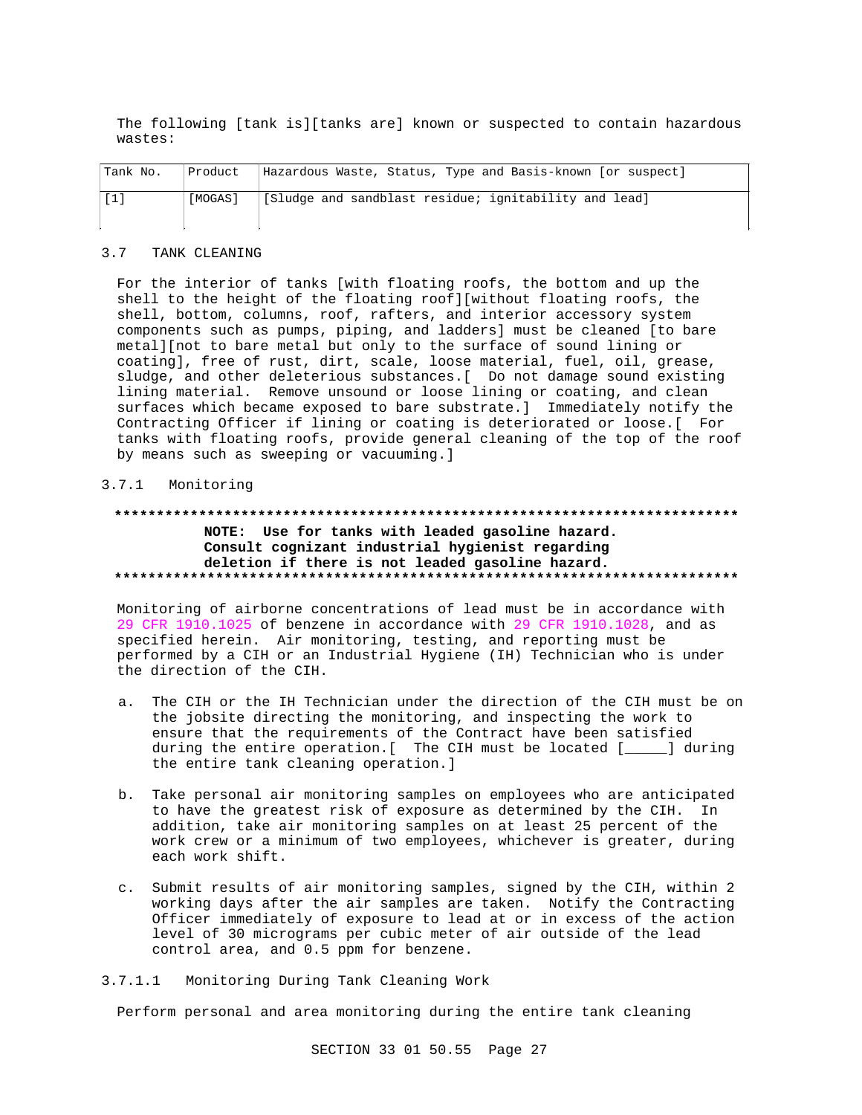The following [tank is][tanks are] known or suspected to contain hazardous wastes:

| Tank No. | Product | Hazardous Waste, Status, Type and Basis-known [or suspect] |
|----------|---------|------------------------------------------------------------|
|          | [MOGAS] | [Sludge and sandblast residue; ignitability and lead]      |

#### $3.7$ TANK CLEANING

For the interior of tanks [with floating roofs, the bottom and up the shell to the height of the floating roof][without floating roofs, the shell, bottom, columns, roof, rafters, and interior accessory system components such as pumps, piping, and ladders] must be cleaned [to bare metal][not to bare metal but only to the surface of sound lining or coating], free of rust, dirt, scale, loose material, fuel, oil, qrease, sludge, and other deleterious substances. [ Do not damage sound existing lining material. Remove unsound or loose lining or coating, and clean surfaces which became exposed to bare substrate.] Immediately notify the Contracting Officer if lining or coating is deteriorated or loose. [ For tanks with floating roofs, provide general cleaning of the top of the roof by means such as sweeping or vacuuming.]

## 3.7.1 Monitoring

## NOTE: Use for tanks with leaded gasoline hazard. Consult cognizant industrial hygienist regarding deletion if there is not leaded gasoline hazard.

Monitoring of airborne concentrations of lead must be in accordance with 29 CFR 1910.1025 of benzene in accordance with 29 CFR 1910.1028, and as specified herein. Air monitoring, testing, and reporting must be performed by a CIH or an Industrial Hygiene (IH) Technician who is under the direction of the CIH.

- a. The CIH or the IH Technician under the direction of the CIH must be on the jobsite directing the monitoring, and inspecting the work to ensure that the requirements of the Contract have been satisfied during the entire operation. [ The CIH must be located [ \_\_\_\_ ] during the entire tank cleaning operation.]
- b. Take personal air monitoring samples on employees who are anticipated to have the greatest risk of exposure as determined by the CIH. In addition, take air monitoring samples on at least 25 percent of the work crew or a minimum of two employees, whichever is greater, during each work shift.
- c. Submit results of air monitoring samples, signed by the CIH, within 2 working days after the air samples are taken. Notify the Contracting Officer immediately of exposure to lead at or in excess of the action level of 30 micrograms per cubic meter of air outside of the lead control area, and 0.5 ppm for benzene.

 $3.7.1.1$ Monitoring During Tank Cleaning Work

Perform personal and area monitoring during the entire tank cleaning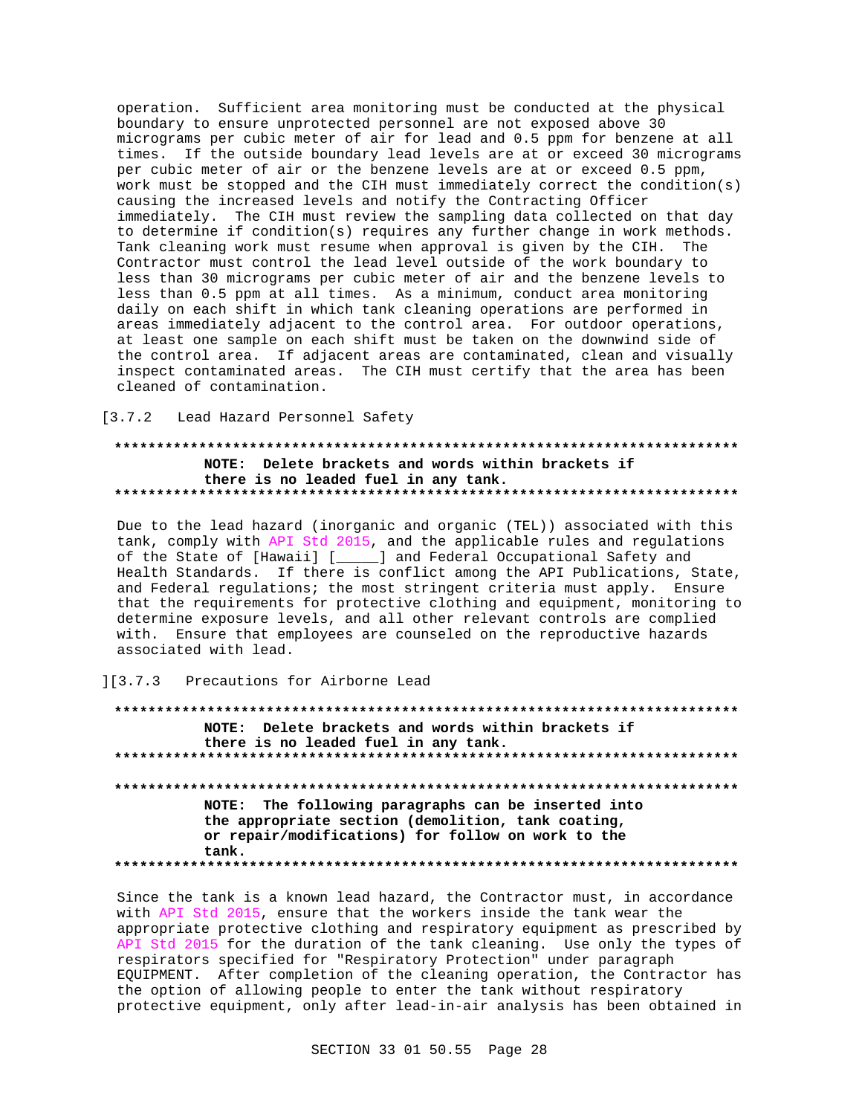operation. Sufficient area monitoring must be conducted at the physical boundary to ensure unprotected personnel are not exposed above 30 micrograms per cubic meter of air for lead and 0.5 ppm for benzene at all times. If the outside boundary lead levels are at or exceed 30 micrograms per cubic meter of air or the benzene levels are at or exceed 0.5 ppm, work must be stopped and the CIH must immediately correct the condition(s) causing the increased levels and notify the Contracting Officer immediately. The CIH must review the sampling data collected on that day to determine if condition(s) requires any further change in work methods. Tank cleaning work must resume when approval is given by the CIH. The Contractor must control the lead level outside of the work boundary to less than 30 micrograms per cubic meter of air and the benzene levels to less than 0.5 ppm at all times. As a minimum, conduct area monitoring daily on each shift in which tank cleaning operations are performed in areas immediately adjacent to the control area. For outdoor operations, at least one sample on each shift must be taken on the downwind side of the control area. If adjacent areas are contaminated, clean and visually inspect contaminated areas. The CIH must certify that the area has been cleaned of contamination.

[3.7.2 Lead Hazard Personnel Safety

## NOTE: Delete brackets and words within brackets if there is no leaded fuel in any tank.

Due to the lead hazard (inorganic and organic (TEL)) associated with this tank, comply with API Std 2015, and the applicable rules and regulations of the State of [Hawaii] [\_\_\_\_] and Federal Occupational Safety and Health Standards. If there is conflict among the API Publications, State, and Federal regulations; the most stringent criteria must apply. Ensure that the requirements for protective clothing and equipment, monitoring to determine exposure levels, and all other relevant controls are complied with. Ensure that employees are counseled on the reproductive hazards associated with lead.

][3.7.3 Precautions for Airborne Lead

NOTE: Delete brackets and words within brackets if there is no leaded fuel in any tank. NOTE: The following paragraphs can be inserted into the appropriate section (demolition, tank coating, or repair/modifications) for follow on work to the tank. 

Since the tank is a known lead hazard, the Contractor must, in accordance with API Std 2015, ensure that the workers inside the tank wear the appropriate protective clothing and respiratory equipment as prescribed by API Std 2015 for the duration of the tank cleaning. Use only the types of respirators specified for "Respiratory Protection" under paragraph EQUIPMENT. After completion of the cleaning operation, the Contractor has the option of allowing people to enter the tank without respiratory protective equipment, only after lead-in-air analysis has been obtained in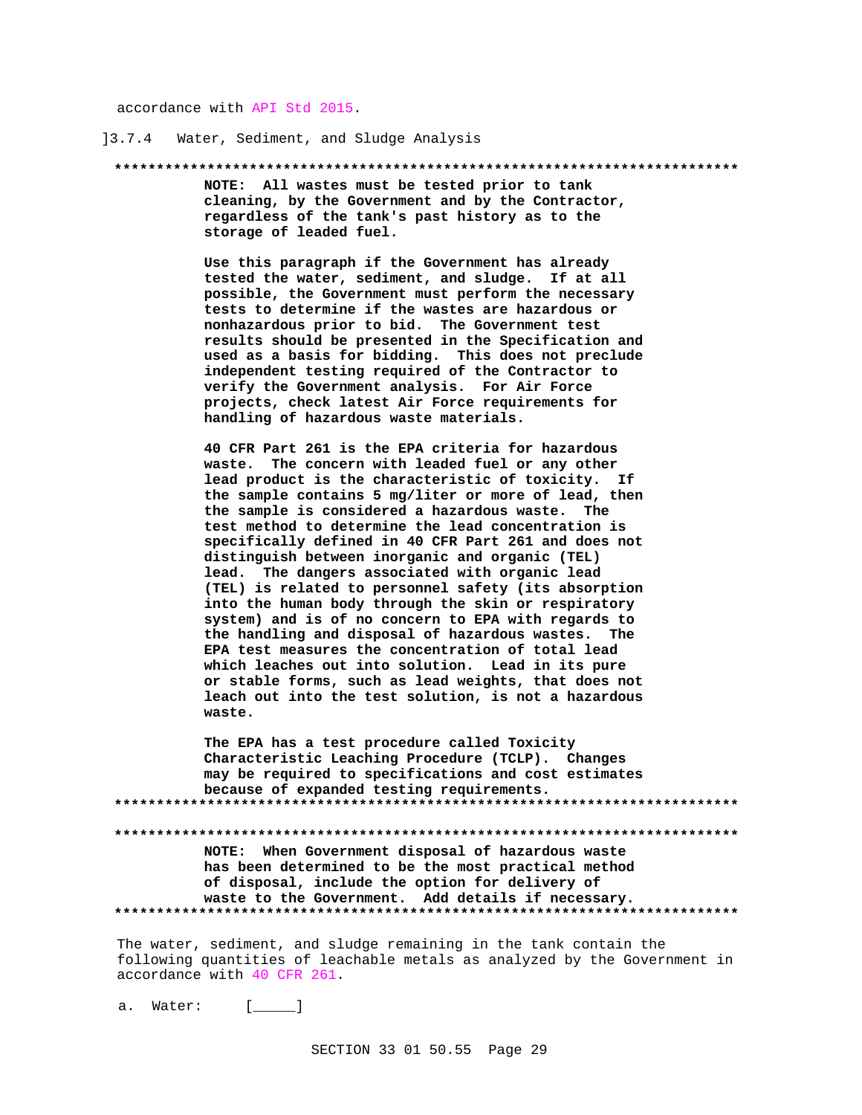accordance with API Std 2015.

]3.7.4 Water, Sediment, and Sludge Analysis

**\*\*\*\*\*\*\*\*\*\*\*\*\*\*\*\*\*\*\*\*\*\*\*\*\*\*\*\*\*\*\*\*\*\*\*\*\*\*\*\*\*\*\*\*\*\*\*\*\*\*\*\*\*\*\*\*\*\*\*\*\*\*\*\*\*\*\*\*\*\*\*\*\*\***

**NOTE: All wastes must be tested prior to tank cleaning, by the Government and by the Contractor, regardless of the tank's past history as to the storage of leaded fuel.**

**Use this paragraph if the Government has already tested the water, sediment, and sludge. If at all possible, the Government must perform the necessary tests to determine if the wastes are hazardous or nonhazardous prior to bid. The Government test results should be presented in the Specification and used as a basis for bidding. This does not preclude independent testing required of the Contractor to verify the Government analysis. For Air Force projects, check latest Air Force requirements for handling of hazardous waste materials.**

**40 CFR Part 261 is the EPA criteria for hazardous waste. The concern with leaded fuel or any other lead product is the characteristic of toxicity. If the sample contains 5 mg/liter or more of lead, then the sample is considered a hazardous waste. The test method to determine the lead concentration is specifically defined in 40 CFR Part 261 and does not distinguish between inorganic and organic (TEL) lead. The dangers associated with organic lead (TEL) is related to personnel safety (its absorption into the human body through the skin or respiratory system) and is of no concern to EPA with regards to the handling and disposal of hazardous wastes. The EPA test measures the concentration of total lead which leaches out into solution. Lead in its pure or stable forms, such as lead weights, that does not leach out into the test solution, is not a hazardous waste.**

**The EPA has a test procedure called Toxicity Characteristic Leaching Procedure (TCLP). Changes may be required to specifications and cost estimates because of expanded testing requirements. \*\*\*\*\*\*\*\*\*\*\*\*\*\*\*\*\*\*\*\*\*\*\*\*\*\*\*\*\*\*\*\*\*\*\*\*\*\*\*\*\*\*\*\*\*\*\*\*\*\*\*\*\*\*\*\*\*\*\*\*\*\*\*\*\*\*\*\*\*\*\*\*\*\* \*\*\*\*\*\*\*\*\*\*\*\*\*\*\*\*\*\*\*\*\*\*\*\*\*\*\*\*\*\*\*\*\*\*\*\*\*\*\*\*\*\*\*\*\*\*\*\*\*\*\*\*\*\*\*\*\*\*\*\*\*\*\*\*\*\*\*\*\*\*\*\*\*\* NOTE: When Government disposal of hazardous waste has been determined to be the most practical method of disposal, include the option for delivery of waste to the Government. Add details if necessary. \*\*\*\*\*\*\*\*\*\*\*\*\*\*\*\*\*\*\*\*\*\*\*\*\*\*\*\*\*\*\*\*\*\*\*\*\*\*\*\*\*\*\*\*\*\*\*\*\*\*\*\*\*\*\*\*\*\*\*\*\*\*\*\*\*\*\*\*\*\*\*\*\*\***

The water, sediment, and sludge remaining in the tank contain the following quantities of leachable metals as analyzed by the Government in accordance with 40 CFR 261.

a. Water: [\_\_\_\_\_]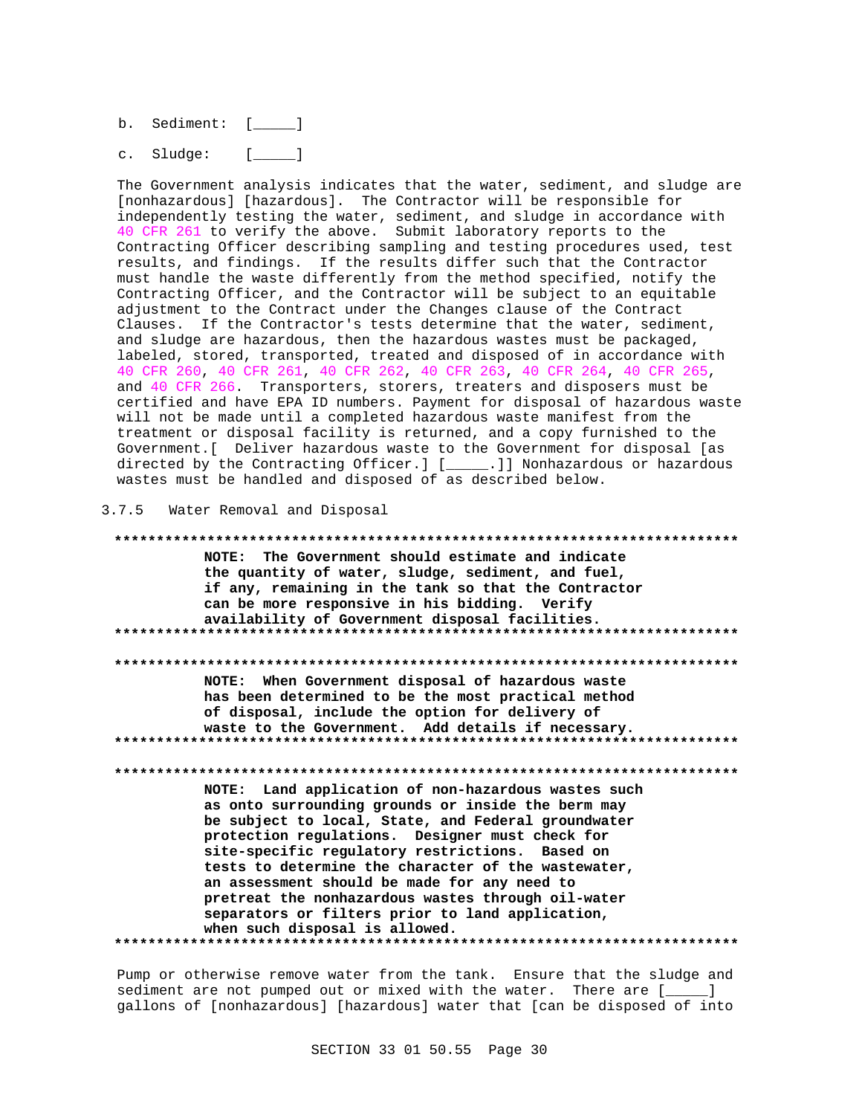- b. Sediment: [\_\_\_\_\_]
- c. Sludge: [\_\_\_\_\_]

The Government analysis indicates that the water, sediment, and sludge are [nonhazardous] [hazardous]. The Contractor will be responsible for independently testing the water, sediment, and sludge in accordance with 40 CFR 261 to verify the above. Submit laboratory reports to the Contracting Officer describing sampling and testing procedures used, test results, and findings. If the results differ such that the Contractor must handle the waste differently from the method specified, notify the Contracting Officer, and the Contractor will be subject to an equitable adjustment to the Contract under the Changes clause of the Contract Clauses. If the Contractor's tests determine that the water, sediment, and sludge are hazardous, then the hazardous wastes must be packaged, labeled, stored, transported, treated and disposed of in accordance with 40 CFR 260, 40 CFR 261, 40 CFR 262, 40 CFR 263, 40 CFR 264, 40 CFR 265, and 40 CFR 266. Transporters, storers, treaters and disposers must be certified and have EPA ID numbers. Payment for disposal of hazardous waste will not be made until a completed hazardous waste manifest from the treatment or disposal facility is returned, and a copy furnished to the Government.[ Deliver hazardous waste to the Government for disposal [as directed by the Contracting Officer.] [\_\_\_\_\_.]] Nonhazardous or hazardous wastes must be handled and disposed of as described below.

#### 3.7.5 Water Removal and Disposal

**\*\*\*\*\*\*\*\*\*\*\*\*\*\*\*\*\*\*\*\*\*\*\*\*\*\*\*\*\*\*\*\*\*\*\*\*\*\*\*\*\*\*\*\*\*\*\*\*\*\*\*\*\*\*\*\*\*\*\*\*\*\*\*\*\*\*\*\*\*\*\*\*\*\* NOTE: The Government should estimate and indicate the quantity of water, sludge, sediment, and fuel, if any, remaining in the tank so that the Contractor can be more responsive in his bidding. Verify availability of Government disposal facilities. \*\*\*\*\*\*\*\*\*\*\*\*\*\*\*\*\*\*\*\*\*\*\*\*\*\*\*\*\*\*\*\*\*\*\*\*\*\*\*\*\*\*\*\*\*\*\*\*\*\*\*\*\*\*\*\*\*\*\*\*\*\*\*\*\*\*\*\*\*\*\*\*\*\* \*\*\*\*\*\*\*\*\*\*\*\*\*\*\*\*\*\*\*\*\*\*\*\*\*\*\*\*\*\*\*\*\*\*\*\*\*\*\*\*\*\*\*\*\*\*\*\*\*\*\*\*\*\*\*\*\*\*\*\*\*\*\*\*\*\*\*\*\*\*\*\*\*\* NOTE: When Government disposal of hazardous waste has been determined to be the most practical method of disposal, include the option for delivery of waste to the Government. Add details if necessary. \*\*\*\*\*\*\*\*\*\*\*\*\*\*\*\*\*\*\*\*\*\*\*\*\*\*\*\*\*\*\*\*\*\*\*\*\*\*\*\*\*\*\*\*\*\*\*\*\*\*\*\*\*\*\*\*\*\*\*\*\*\*\*\*\*\*\*\*\*\*\*\*\*\* \*\*\*\*\*\*\*\*\*\*\*\*\*\*\*\*\*\*\*\*\*\*\*\*\*\*\*\*\*\*\*\*\*\*\*\*\*\*\*\*\*\*\*\*\*\*\*\*\*\*\*\*\*\*\*\*\*\*\*\*\*\*\*\*\*\*\*\*\*\*\*\*\*\* NOTE: Land application of non-hazardous wastes such as onto surrounding grounds or inside the berm may be subject to local, State, and Federal groundwater protection regulations. Designer must check for site-specific regulatory restrictions. Based on tests to determine the character of the wastewater, an assessment should be made for any need to pretreat the nonhazardous wastes through oil-water separators or filters prior to land application, when such disposal is allowed. \*\*\*\*\*\*\*\*\*\*\*\*\*\*\*\*\*\*\*\*\*\*\*\*\*\*\*\*\*\*\*\*\*\*\*\*\*\*\*\*\*\*\*\*\*\*\*\*\*\*\*\*\*\*\*\*\*\*\*\*\*\*\*\*\*\*\*\*\*\*\*\*\*\***

Pump or otherwise remove water from the tank. Ensure that the sludge and sediment are not pumped out or mixed with the water. There are [\_\_\_\_\_] gallons of [nonhazardous] [hazardous] water that [can be disposed of into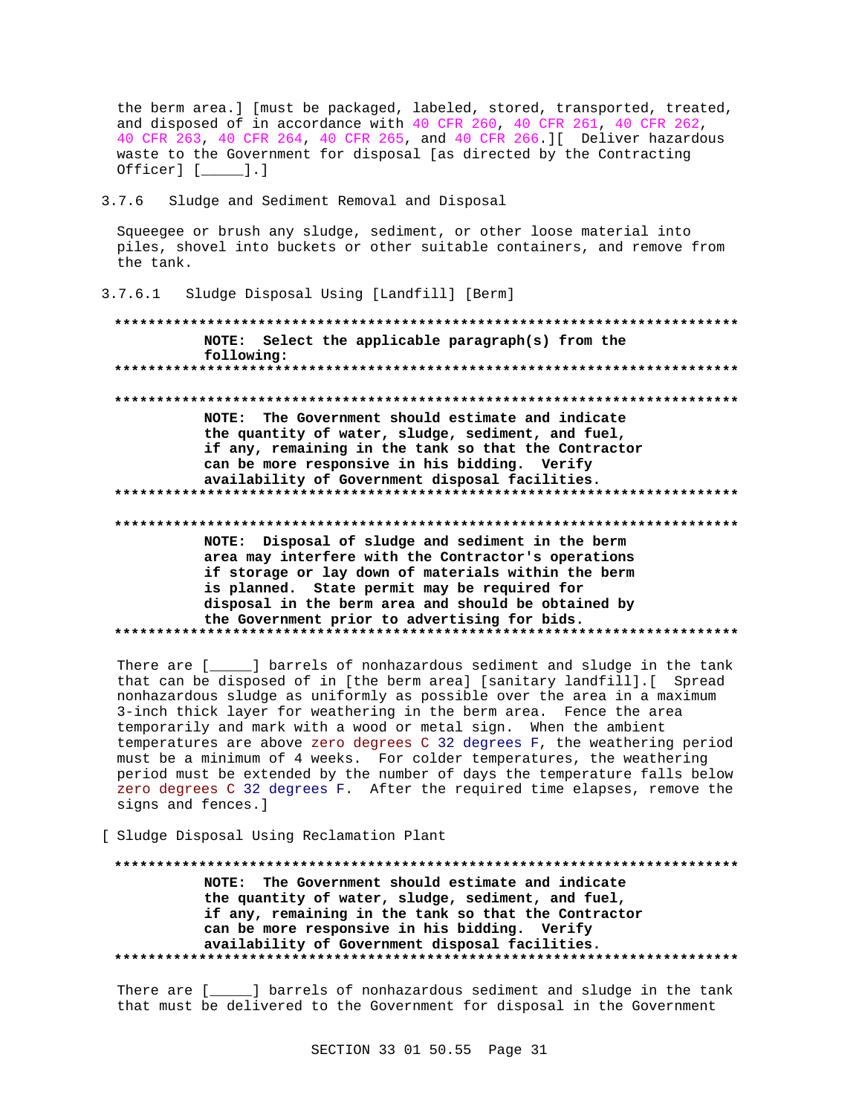the berm area.] [must be packaged, labeled, stored, transported, treated, and disposed of in accordance with 40 CFR 260, 40 CFR 261, 40 CFR 262, 40 CFR 263, 40 CFR 264, 40 CFR 265, and 40 CFR 266. I Deliver hazardous waste to the Government for disposal [as directed by the Contracting  $Officer]$  [ $\_\_\_\_\]$ .]

 $3.7.6$ Sludge and Sediment Removal and Disposal

Squeegee or brush any sludge, sediment, or other loose material into piles, shovel into buckets or other suitable containers, and remove from the tank.

 $3.7.6.1$ Sludge Disposal Using [Landfill] [Berm]

NOTE: Select the applicable paragraph(s) from the following: NOTE: The Government should estimate and indicate the quantity of water, sludge, sediment, and fuel, if any, remaining in the tank so that the Contractor can be more responsive in his bidding. Verify availability of Government disposal facilities. NOTE: Disposal of sludge and sediment in the berm area may interfere with the Contractor's operations if storage or lay down of materials within the berm is planned. State permit may be required for disposal in the berm area and should be obtained by the Government prior to advertising for bids. 

There are [\_\_\_\_\_] barrels of nonhazardous sediment and sludge in the tank that can be disposed of in [the berm area] [sanitary landfill]. [ Spread nonhazardous sludge as uniformly as possible over the area in a maximum 3-inch thick layer for weathering in the berm area. Fence the area temporarily and mark with a wood or metal sign. When the ambient temperatures are above zero degrees C 32 degrees F, the weathering period must be a minimum of 4 weeks. For colder temperatures, the weathering period must be extended by the number of days the temperature falls below zero degrees C 32 degrees F. After the required time elapses, remove the signs and fences.]

[ Sludge Disposal Using Reclamation Plant

NOTE: The Government should estimate and indicate the quantity of water, sludge, sediment, and fuel, if any, remaining in the tank so that the Contractor can be more responsive in his bidding. Verify availability of Government disposal facilities. 

There are [\_\_\_\_\_] barrels of nonhazardous sediment and sludge in the tank that must be delivered to the Government for disposal in the Government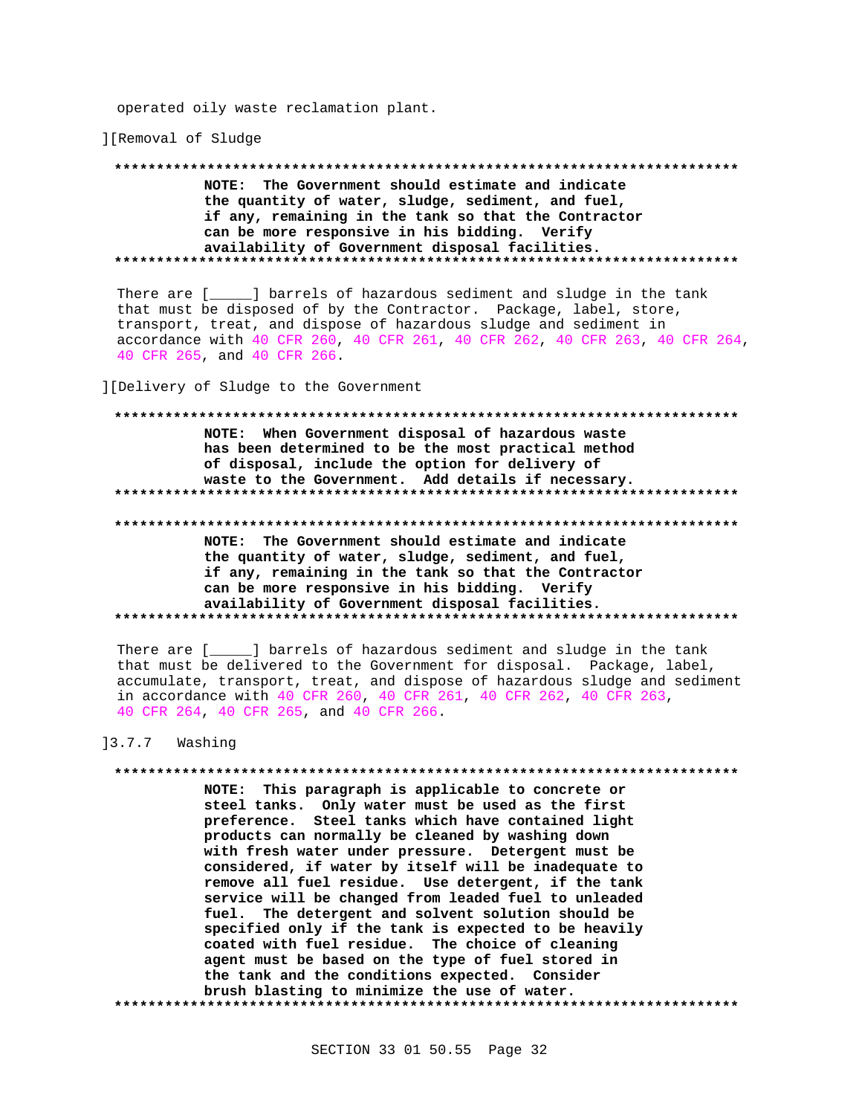operated oily waste reclamation plant.

][Removal of Sludge

## NOTE: The Government should estimate and indicate the quantity of water, sludge, sediment, and fuel, if any, remaining in the tank so that the Contractor can be more responsive in his bidding. Verify availability of Government disposal facilities.

There are [\_\_\_\_\_] barrels of hazardous sediment and sludge in the tank that must be disposed of by the Contractor. Package, label, store, transport, treat, and dispose of hazardous sludge and sediment in accordance with 40 CFR 260, 40 CFR 261, 40 CFR 262, 40 CFR 263, 40 CFR 264, 40 CFR 265, and 40 CFR 266.

[[Delivery of Sludge to the Government

#### 

NOTE: When Government disposal of hazardous waste has been determined to be the most practical method of disposal, include the option for delivery of waste to the Government. Add details if necessary. 

NOTE: The Government should estimate and indicate the quantity of water, sludge, sediment, and fuel, if any, remaining in the tank so that the Contractor can be more responsive in his bidding. Verify availability of Government disposal facilities. 

There are  $[$ \_] barrels of hazardous sediment and sludge in the tank that must be delivered to the Government for disposal. Package, label, accumulate, transport, treat, and dispose of hazardous sludge and sediment in accordance with 40 CFR 260, 40 CFR 261, 40 CFR 262, 40 CFR 263, 40 CFR 264, 40 CFR 265, and 40 CFR 266.

 $] 3.7.7$ Washing

#### 

NOTE: This paragraph is applicable to concrete or steel tanks. Only water must be used as the first preference. Steel tanks which have contained light products can normally be cleaned by washing down with fresh water under pressure. Detergent must be considered, if water by itself will be inadequate to remove all fuel residue. Use detergent, if the tank service will be changed from leaded fuel to unleaded fuel. The detergent and solvent solution should be specified only if the tank is expected to be heavily coated with fuel residue. The choice of cleaning agent must be based on the type of fuel stored in the tank and the conditions expected. Consider brush blasting to minimize the use of water.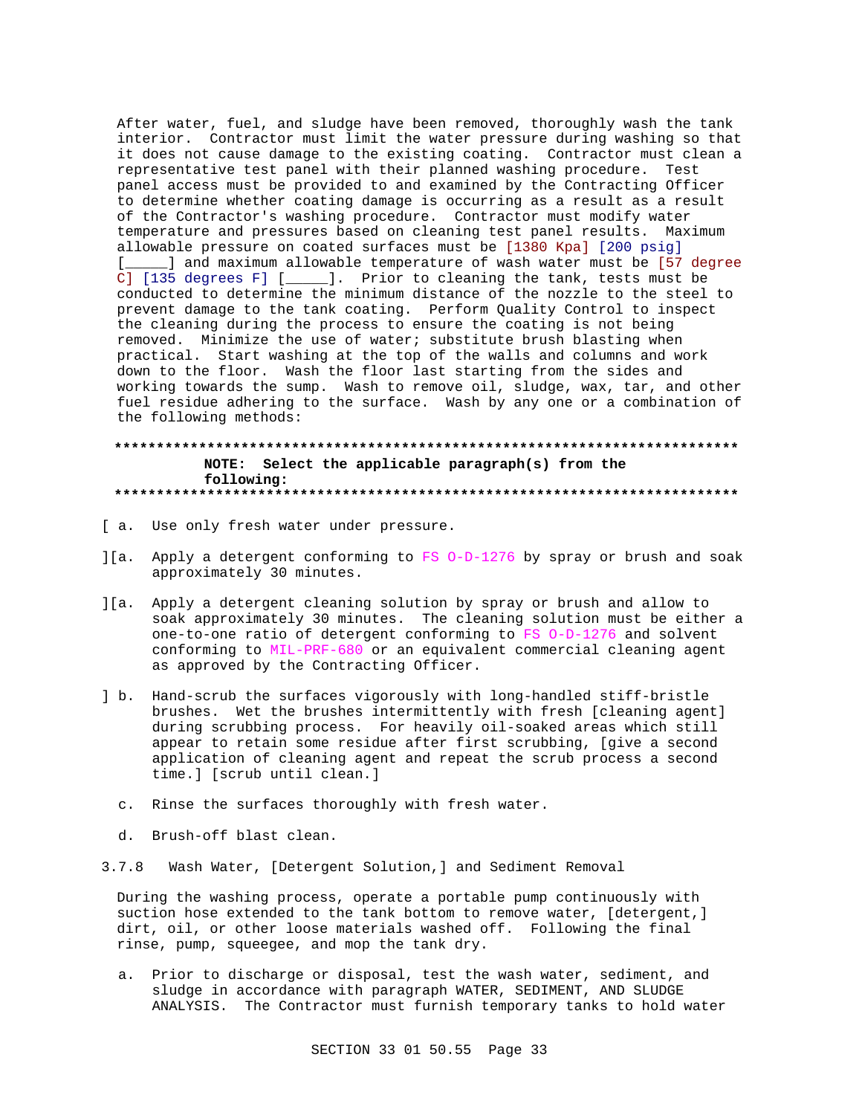After water, fuel, and sludge have been removed, thoroughly wash the tank interior. Contractor must limit the water pressure during washing so that it does not cause damage to the existing coating. Contractor must clean a representative test panel with their planned washing procedure. Test panel access must be provided to and examined by the Contracting Officer to determine whether coating damage is occurring as a result as a result of the Contractor's washing procedure. Contractor must modify water temperature and pressures based on cleaning test panel results. Maximum allowable pressure on coated surfaces must be [1380 Kpa] [200 psig] ] and maximum allowable temperature of wash water must be [57 degree  $\mathbf{L}$ C] [135 degrees F] [\_\_\_\_\_]. Prior to cleaning the tank, tests must be conducted to determine the minimum distance of the nozzle to the steel to prevent damage to the tank coating. Perform Quality Control to inspect the cleaning during the process to ensure the coating is not being removed. Minimize the use of water; substitute brush blasting when practical. Start washing at the top of the walls and columns and work down to the floor. Wash the floor last starting from the sides and working towards the sump. Wash to remove oil, sludge, wax, tar, and other fuel residue adhering to the surface. Wash by any one or a combination of the following methods:

## NOTE: Select the applicable paragraph(s) from the following:

- [ a. Use only fresh water under pressure.
- ][a. Apply a detergent conforming to FS 0-D-1276 by spray or brush and soak approximately 30 minutes.
- ][a. Apply a detergent cleaning solution by spray or brush and allow to soak approximately 30 minutes. The cleaning solution must be either a one-to-one ratio of detergent conforming to FS 0-D-1276 and solvent conforming to MIL-PRF-680 or an equivalent commercial cleaning agent as approved by the Contracting Officer.
- ] b. Hand-scrub the surfaces vigorously with long-handled stiff-bristle brushes. Wet the brushes intermittently with fresh [cleaning agent] during scrubbing process. For heavily oil-soaked areas which still appear to retain some residue after first scrubbing, [give a second application of cleaning agent and repeat the scrub process a second time.] [scrub until clean.]
	- c. Rinse the surfaces thoroughly with fresh water.
	- d. Brush-off blast clean.
- $3.7.8$ Wash Water, [Detergent Solution,] and Sediment Removal

During the washing process, operate a portable pump continuously with suction hose extended to the tank bottom to remove water, [detergent,] dirt, oil, or other loose materials washed off. Following the final rinse, pump, squeegee, and mop the tank dry.

a. Prior to discharge or disposal, test the wash water, sediment, and sludge in accordance with paragraph WATER, SEDIMENT, AND SLUDGE ANALYSIS. The Contractor must furnish temporary tanks to hold water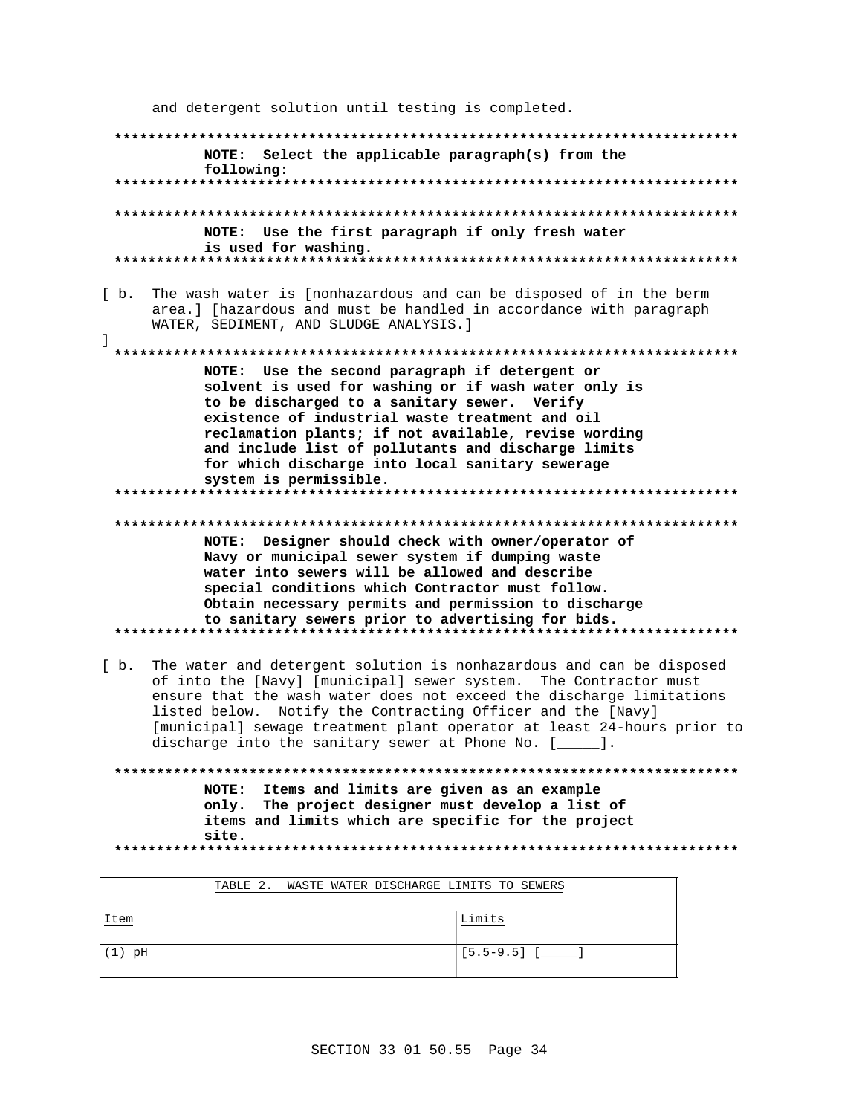and detergent solution until testing is completed.

NOTE: Select the applicable paragraph(s) from the following: NOTE: Use the first paragraph if only fresh water is used for washing. [b. The wash water is [nonhazardous and can be disposed of in the berm area.] [hazardous and must be handled in accordance with paragraph WATER, SEDIMENT, AND SLUDGE ANALYSIS. ]  $\mathbf{1}$ NOTE: Use the second paragraph if detergent or solvent is used for washing or if wash water only is to be discharged to a sanitary sewer. Verify existence of industrial waste treatment and oil reclamation plants; if not available, revise wording and include list of pollutants and discharge limits for which discharge into local sanitary sewerage system is permissible. NOTE: Designer should check with owner/operator of Navy or municipal sewer system if dumping waste water into sewers will be allowed and describe special conditions which Contractor must follow. Obtain necessary permits and permission to discharge to sanitary sewers prior to advertising for bids. 

[b. The water and detergent solution is nonhazardous and can be disposed of into the [Navy] [municipal] sewer system. The Contractor must ensure that the wash water does not exceed the discharge limitations listed below. Notify the Contracting Officer and the [Navy] [municipal] sewage treatment plant operator at least 24-hours prior to discharge into the sanitary sewer at Phone No. [  $\Box$ ].

NOTE: Items and limits are given as an example only. The project designer must develop a list of items and limits which are specific for the project site. 

|          |  |  | TABLE 2. WASTE WATER DISCHARGE LIMITS TO SEWERS |        |                 |  |
|----------|--|--|-------------------------------------------------|--------|-----------------|--|
|          |  |  |                                                 |        |                 |  |
| Item     |  |  |                                                 | Limits |                 |  |
|          |  |  |                                                 |        |                 |  |
| $(1)$ pH |  |  |                                                 |        | $[5.5-9.5]$ [ ] |  |
|          |  |  |                                                 |        |                 |  |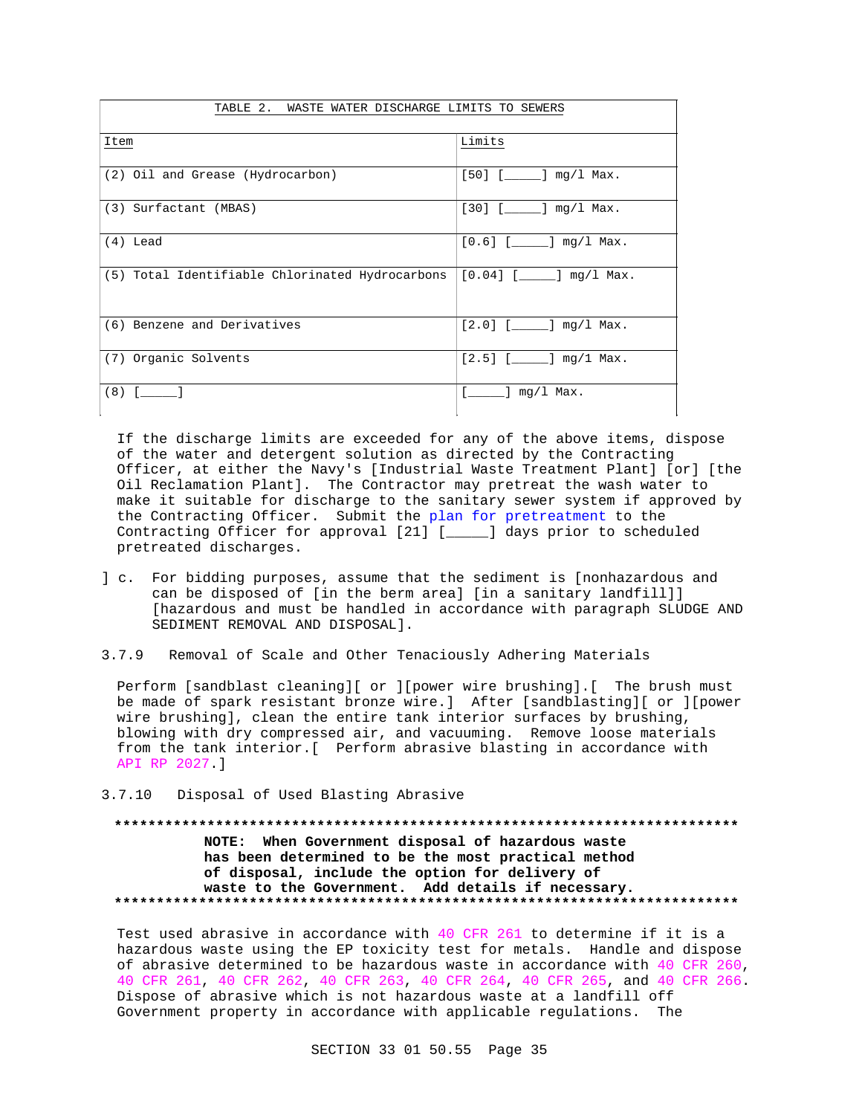| TABLE 2. WASTE WATER DISCHARGE LIMITS TO SEWERS                                       |                                                      |  |  |  |  |
|---------------------------------------------------------------------------------------|------------------------------------------------------|--|--|--|--|
| Item                                                                                  | Limits                                               |  |  |  |  |
| (2) Oil and Grease (Hydrocarbon)                                                      | $[50]$ $[$ $]$ $[$ $]$ $mg/1$ $Max.$                 |  |  |  |  |
| (3) Surfactant (MBAS)                                                                 | $[30]$ [_____] mg/l Max.                             |  |  |  |  |
| $(4)$ Lead                                                                            | $[0.6]$ $[$ $]$ $mg/1$ Max.                          |  |  |  |  |
| (5) Total Identifiable Chlorinated Hydrocarbons $\left[0.04\right]$ [10004] mq/l Max. |                                                      |  |  |  |  |
| (6) Benzene and Derivatives                                                           | $[2.0]$ $[$ $\qquad$ $]$ $\text{mq/l}$ $\text{Max.}$ |  |  |  |  |
| (7) Organic Solvents                                                                  | $[2.5]$ $[$ $\qquad$ $]$ mg/1 Max.                   |  |  |  |  |
| $(8)$ [ ]                                                                             | $[$ $]$ mg/l Max.                                    |  |  |  |  |

If the discharge limits are exceeded for any of the above items, dispose of the water and detergent solution as directed by the Contracting Officer, at either the Navy's [Industrial Waste Treatment Plant] [or] [the Oil Reclamation Plant]. The Contractor may pretreat the wash water to make it suitable for discharge to the sanitary sewer system if approved by the Contracting Officer. Submit the plan for pretreatment to the Contracting Officer for approval [21] [\_\_\_\_\_] days prior to scheduled pretreated discharges.

- ] c. For bidding purposes, assume that the sediment is [nonhazardous and can be disposed of [in the berm area] [in a sanitary landfill]] [hazardous and must be handled in accordance with paragraph SLUDGE AND SEDIMENT REMOVAL AND DISPOSAL].
- 3.7.9 Removal of Scale and Other Tenaciously Adhering Materials

Perform [sandblast cleaning][ or ][power wire brushing].[ The brush must be made of spark resistant bronze wire.] After [sandblasting][ or ][power wire brushing], clean the entire tank interior surfaces by brushing, blowing with dry compressed air, and vacuuming. Remove loose materials from the tank interior.[ Perform abrasive blasting in accordance with API RP 2027.]

3.7.10 Disposal of Used Blasting Abrasive

# **\*\*\*\*\*\*\*\*\*\*\*\*\*\*\*\*\*\*\*\*\*\*\*\*\*\*\*\*\*\*\*\*\*\*\*\*\*\*\*\*\*\*\*\*\*\*\*\*\*\*\*\*\*\*\*\*\*\*\*\*\*\*\*\*\*\*\*\*\*\*\*\*\*\* NOTE: When Government disposal of hazardous waste has been determined to be the most practical method of disposal, include the option for delivery of waste to the Government. Add details if necessary. \*\*\*\*\*\*\*\*\*\*\*\*\*\*\*\*\*\*\*\*\*\*\*\*\*\*\*\*\*\*\*\*\*\*\*\*\*\*\*\*\*\*\*\*\*\*\*\*\*\*\*\*\*\*\*\*\*\*\*\*\*\*\*\*\*\*\*\*\*\*\*\*\*\***

Test used abrasive in accordance with 40 CFR 261 to determine if it is a hazardous waste using the EP toxicity test for metals. Handle and dispose of abrasive determined to be hazardous waste in accordance with 40 CFR 260, 40 CFR 261, 40 CFR 262, 40 CFR 263, 40 CFR 264, 40 CFR 265, and 40 CFR 266. Dispose of abrasive which is not hazardous waste at a landfill off Government property in accordance with applicable regulations. The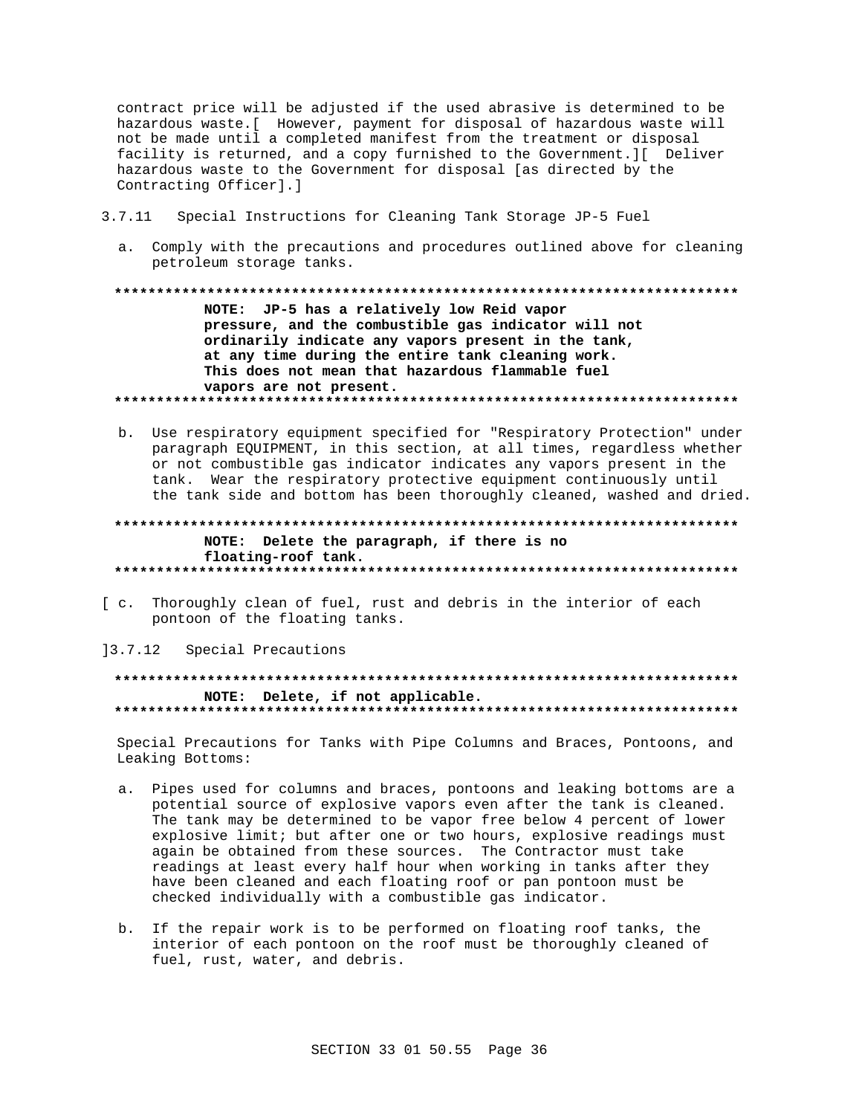contract price will be adjusted if the used abrasive is determined to be hazardous waste. [ However, payment for disposal of hazardous waste will not be made until a completed manifest from the treatment or disposal facility is returned, and a copy furnished to the Government. ] [ Deliver hazardous waste to the Government for disposal [as directed by the Contracting Officer].]

#### $3.7.11$ Special Instructions for Cleaning Tank Storage JP-5 Fuel

a. Comply with the precautions and procedures outlined above for cleaning petroleum storage tanks.

# NOTE: JP-5 has a relatively low Reid vapor pressure, and the combustible gas indicator will not ordinarily indicate any vapors present in the tank, at any time during the entire tank cleaning work. This does not mean that hazardous flammable fuel vapors are not present.

b. Use respiratory equipment specified for "Respiratory Protection" under paragraph EQUIPMENT, in this section, at all times, regardless whether or not combustible gas indicator indicates any vapors present in the tank. Wear the respiratory protective equipment continuously until the tank side and bottom has been thoroughly cleaned, washed and dried.

#### \*\*\*\*\*\*\*\*\*\*\*\*\*\*\*\*\*\*\*\*\*\* NOTE: Delete the paragraph, if there is no floating-roof tank.

[ c. Thoroughly clean of fuel, rust and debris in the interior of each pontoon of the floating tanks.

 $]3.7.12$ Special Precautions

## NOTE: Delete, if not applicable.

Special Precautions for Tanks with Pipe Columns and Braces, Pontoons, and Leaking Bottoms:

- a. Pipes used for columns and braces, pontoons and leaking bottoms are a potential source of explosive vapors even after the tank is cleaned. The tank may be determined to be vapor free below 4 percent of lower explosive limit; but after one or two hours, explosive readings must again be obtained from these sources. The Contractor must take readings at least every half hour when working in tanks after they have been cleaned and each floating roof or pan pontoon must be checked individually with a combustible gas indicator.
- b. If the repair work is to be performed on floating roof tanks, the interior of each pontoon on the roof must be thoroughly cleaned of fuel, rust, water, and debris.